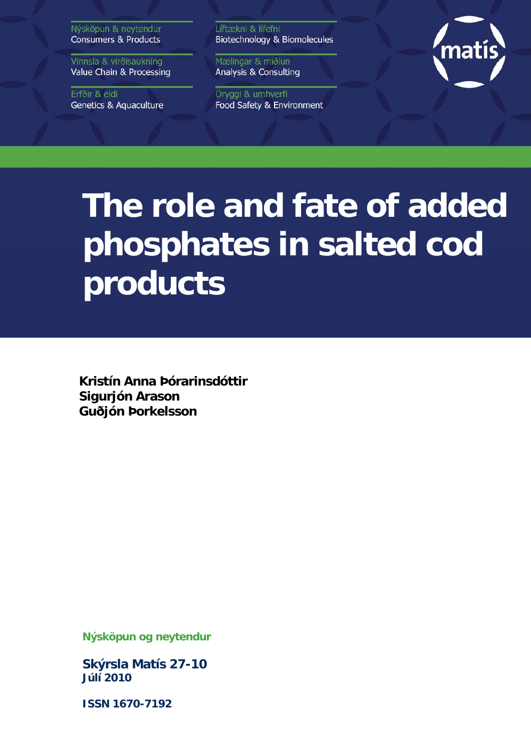Nýsköpun & neytendur **Consumers & Products** 

Vinnsla & virðisaukning Value Chain & Processing

Erfðir & eldi **Genetics & Aquaculture**  Líftækni & lífefni Biotechnology & Biomolecules

Mælingar & miðlun Analysis & Consulting

Öryggi & umhverfi Food Safety & Environment



# **The role and fate of added phosphates in salted cod products**

**Kristín Anna Þórarinsdóttir Sigurjón Arason Guðjón Þorkelsson** 

**Nýsköpun og neytendur** 

**Skýrsla Matís 27-10 Júlí 2010** 

**ISSN 1670-7192**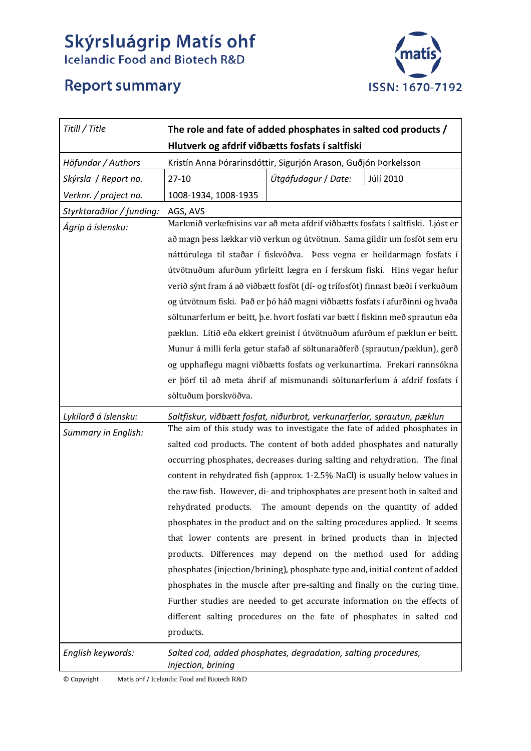# **Skýrsluágrip Matís ohf**<br>Icelandic Food and Biotech R&D

# **Report summary**



| Titill / Title            | The role and fate of added phosphates in salted cod products /                       |                                             |           |  |  |  |  |
|---------------------------|--------------------------------------------------------------------------------------|---------------------------------------------|-----------|--|--|--|--|
|                           | Hlutverk og afdrif viðbætts fosfats í saltfiski                                      |                                             |           |  |  |  |  |
| Höfundar / Authors        | Kristín Anna Þórarinsdóttir, Sigurjón Arason, Guðjón Þorkelsson                      |                                             |           |  |  |  |  |
| Skýrsla / Report no.      | $27-10$                                                                              | Útgáfudagur / Date:                         | Júlí 2010 |  |  |  |  |
| Verknr. / project no.     | 1008-1934, 1008-1935                                                                 |                                             |           |  |  |  |  |
| Styrktaraðilar / funding: | AGS, AVS                                                                             |                                             |           |  |  |  |  |
| Ágrip á íslensku:         | Markmið verkefnisins var að meta afdrif viðbætts fosfats í saltfiski. Ljóst er       |                                             |           |  |  |  |  |
|                           | að magn þess lækkar við verkun og útvötnun. Sama gildir um fosföt sem eru            |                                             |           |  |  |  |  |
|                           | náttúrulega til staðar í fiskvöðva. Þess vegna er heildarmagn fosfats í              |                                             |           |  |  |  |  |
|                           | útvötnuðum afurðum yfirleitt lægra en í ferskum fiski. Hins vegar hefur              |                                             |           |  |  |  |  |
|                           | verið sýnt fram á að viðbætt fosföt (dí- og trífosföt) finnast bæði í verkuðum       |                                             |           |  |  |  |  |
|                           | og útvötnum fiski. Það er þó háð magni viðbætts fosfats í afurðinni og hvaða         |                                             |           |  |  |  |  |
|                           | söltunarferlum er beitt, þ.e. hvort fosfati var bætt í fiskinn með sprautun eða      |                                             |           |  |  |  |  |
|                           | pæklun. Lítið eða ekkert greinist í útvötnuðum afurðum ef pæklun er beitt.           |                                             |           |  |  |  |  |
|                           | Munur á milli ferla getur stafað af söltunaraðferð (sprautun/pæklun), gerð           |                                             |           |  |  |  |  |
|                           | og upphaflegu magni viðbætts fosfats og verkunartíma. Frekari rannsókna              |                                             |           |  |  |  |  |
|                           | er þörf til að meta áhrif af mismunandi söltunarferlum á afdrif fosfats í            |                                             |           |  |  |  |  |
|                           | söltuðum þorskvöðva.                                                                 |                                             |           |  |  |  |  |
| Lykilorð á íslensku:      | Saltfiskur, viðbætt fosfat, niðurbrot, verkunarferlar, sprautun, pæklun              |                                             |           |  |  |  |  |
| Summary in English:       | The aim of this study was to investigate the fate of added phosphates in             |                                             |           |  |  |  |  |
|                           | salted cod products. The content of both added phosphates and naturally              |                                             |           |  |  |  |  |
|                           | occurring phosphates, decreases during salting and rehydration. The final            |                                             |           |  |  |  |  |
|                           | content in rehydrated fish (approx. 1-2.5% NaCl) is usually below values in          |                                             |           |  |  |  |  |
|                           | the raw fish. However, di- and triphosphates are present both in salted and          |                                             |           |  |  |  |  |
|                           | rehydrated products.                                                                 | The amount depends on the quantity of added |           |  |  |  |  |
|                           | phosphates in the product and on the salting procedures applied. It seems            |                                             |           |  |  |  |  |
|                           | that lower contents are present in brined products than in injected                  |                                             |           |  |  |  |  |
|                           | products. Differences may depend on the method used for adding                       |                                             |           |  |  |  |  |
|                           | phosphates (injection/brining), phosphate type and, initial content of added         |                                             |           |  |  |  |  |
|                           | phosphates in the muscle after pre-salting and finally on the curing time.           |                                             |           |  |  |  |  |
|                           | Further studies are needed to get accurate information on the effects of             |                                             |           |  |  |  |  |
|                           | different salting procedures on the fate of phosphates in salted cod                 |                                             |           |  |  |  |  |
|                           | products.                                                                            |                                             |           |  |  |  |  |
| English keywords:         | Salted cod, added phosphates, degradation, salting procedures,<br>injection, brining |                                             |           |  |  |  |  |

© Copyright Matís ohf / Icelandic Food and Biotech R&D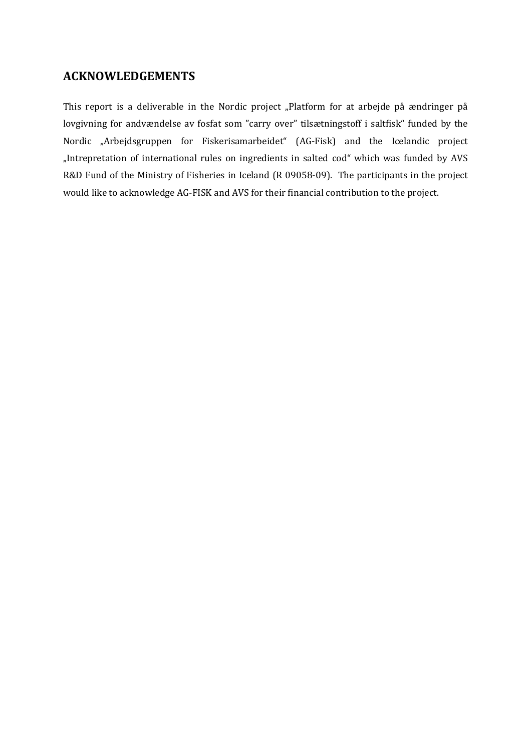# **ACKNOWLEDGEMENTS**

This report is a deliverable in the Nordic project "Platform for at arbejde på ændringer på lovgivning for andvændelse av fosfat som "carry over" tilsætningstoff i saltfisk" funded by the Nordic "Arbejdsgruppen for Fiskerisamarbeidet" (AG-Fisk) and the Icelandic project "Intrepretation of international rules on ingredients in salted cod" which was funded by AVS R&D Fund of the Ministry of Fisheries in Iceland (R 09058‐09). The participants in the project would like to acknowledge AG‐FISK and AVS for their financial contribution to the project.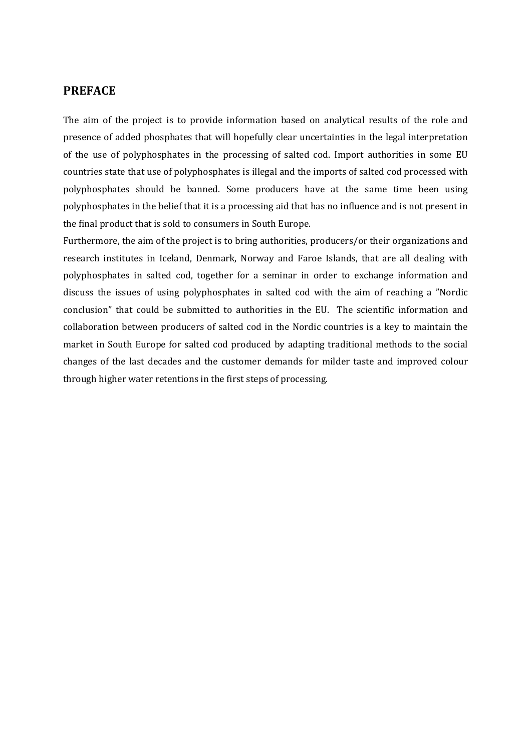#### **PREFACE**

The aim of the project is to provide information based on analytical results of the role and presence of added phosphates that will hopefully clear uncertainties in the legal interpretation of the use of polyphosphates in the processing of salted cod. Import authorities in some EU countries state that use of polyphosphates is illegal and the imports of salted cod processed with polyphosphates should be banned. Some producers have at the same time been using polyphosphates in the belief that it is a processing aid that has no influence and is not present in the final product that is sold to consumers in South Europe.

Furthermore, the aim of the project is to bring authorities, producers/or their organizations and research institutes in Iceland, Denmark, Norway and Faroe Islands, that are all dealing with polyphosphates in salted cod, together for a seminar in order to exchange information and discuss the issues of using polyphosphates in salted cod with the aim of reaching a "Nordic conclusion" that could be submitted to authorities in the EU. The scientific information and collaboration between producers of salted cod in the Nordic countries is a key to maintain the market in South Europe for salted cod produced by adapting traditional methods to the social changes of the last decades and the customer demands for milder taste and improved colour through higher water retentions in the first steps of processing.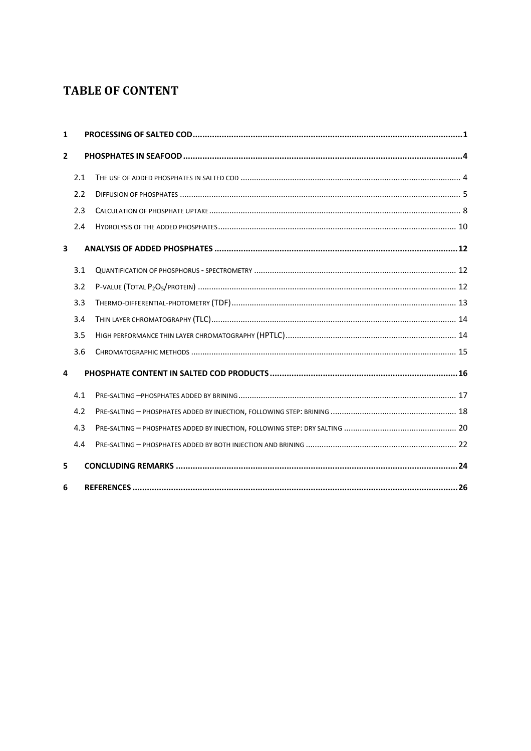# **TABLE OF CONTENT**

| $\mathbf{1}$   |     |  |
|----------------|-----|--|
| $\overline{2}$ |     |  |
|                | 2.1 |  |
|                | 2.2 |  |
|                | 2.3 |  |
|                | 2.4 |  |
| 3              |     |  |
|                | 3.1 |  |
|                | 3.2 |  |
|                | 3.3 |  |
|                | 3.4 |  |
|                | 3.5 |  |
|                | 3.6 |  |
| 4              |     |  |
|                | 4.1 |  |
|                | 4.2 |  |
|                | 4.3 |  |
|                | 4.4 |  |
| 5              |     |  |
| 6              |     |  |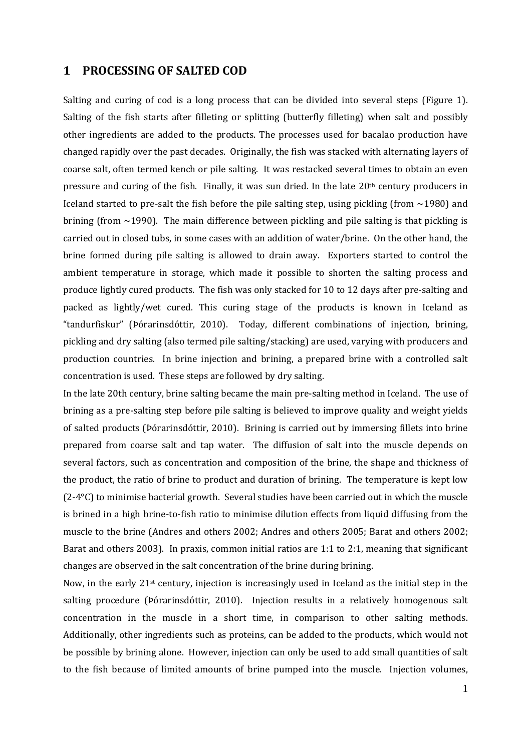#### **1 PROCESSING OF SALTED COD**

Salting and curing of cod is a long process that can be divided into several steps (Figure 1). Salting of the fish starts after filleting or splitting (butterfly filleting) when salt and possibly other ingredients are added to the products. The processes used for bacalao production have changed rapidly over the past decades. Originally, the fish was stacked with alternating layers of coarse salt, often termed kench or pile salting. It was restacked several times to obtain an even pressure and curing of the fish. Finally, it was sun dried. In the late 20<sup>th</sup> century producers in Iceland started to pre-salt the fish before the pile salting step, using pickling (from  $\sim$ 1980) and brining (from  $\sim$ 1990). The main difference between pickling and pile salting is that pickling is carried out in closed tubs, in some cases with an addition of water/brine. On the other hand, the brine formed during pile salting is allowed to drain away. Exporters started to control the ambient temperature in storage, which made it possible to shorten the salting process and produce lightly cured products. The fish was only stacked for 10 to 12 days after pre‐salting and packed as lightly/wet cured. This curing stage of the products is known in Iceland as "tandurfiskur" (Þórarinsdóttir, 2010). Today, different combinations of injection, brining, pickling and dry salting (also termed pile salting/stacking) are used, varying with producers and production countries. In brine injection and brining, a prepared brine with a controlled salt concentration is used. These steps are followed by dry salting.

In the late 20th century, brine salting became the main pre‐salting method in Iceland. The use of brining as a pre‐salting step before pile salting is believed to improve quality and weight yields of salted products (Þórarinsdóttir, 2010). Brining is carried out by immersing fillets into brine prepared from coarse salt and tap water. The diffusion of salt into the muscle depends on several factors, such as concentration and composition of the brine, the shape and thickness of the product, the ratio of brine to product and duration of brining. The temperature is kept low (2‐4°C) to minimise bacterial growth. Several studies have been carried out in which the muscle is brined in a high brine‐to‐fish ratio to minimise dilution effects from liquid diffusing from the muscle to the brine (Andres and others 2002; Andres and others 2005; Barat and others 2002; Barat and others 2003). In praxis, common initial ratios are 1:1 to 2:1, meaning that significant changes are observed in the salt concentration of the brine during brining.

Now, in the early  $21^{st}$  century, injection is increasingly used in Iceland as the initial step in the salting procedure (Þórarinsdóttir, 2010). Injection results in a relatively homogenous salt concentration in the muscle in a short time, in comparison to other salting methods. Additionally, other ingredients such as proteins, can be added to the products, which would not be possible by brining alone. However, injection can only be used to add small quantities of salt to the fish because of limited amounts of brine pumped into the muscle. Injection volumes,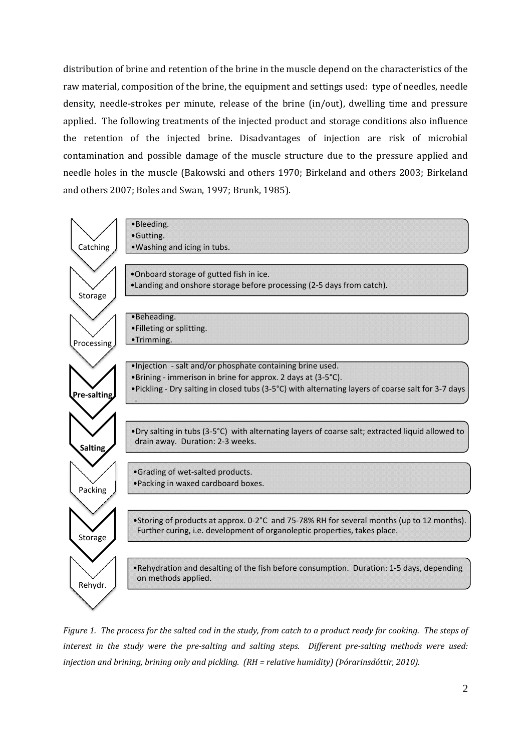distribution of brine and retention of the brine in the muscle depend on the characteristics of the raw material, composition of the brine, the equipment and settings used: type of needles, needle density, needle-strokes per minute, release of the brine (in/out), dwelling time and pressure applied. The following treatments of the injected product and storage conditions also influence the retention of the injected brine. Disadvantages of injection are risk of microbial contamination and possible damage of the muscle structure due to the pressure applied and needle holes in the muscle (Bakowski and others 1970; Birkeland and others 2003; Birkeland and others 2007; Boles and Swan, 1997; Brunk, 1985).



Figure 1. The process for the salted cod in the study, from catch to a product ready for cooking. The steps of interest in the study were the pre-salting and salting steps. Different pre-salting methods were used: *injection and brining, brining only and pickling. (RH = relative humidity) (Þórarinsdóttir, 2010).*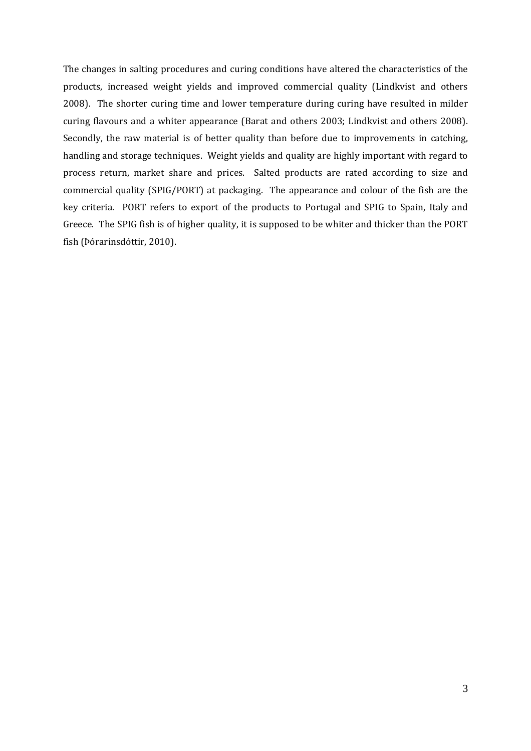The changes in salting procedures and curing conditions have altered the characteristics of the products, increased weight yields and improved commercial quality (Lindkvist and others 2008). The shorter curing time and lower temperature during curing have resulted in milder curing flavours and a whiter appearance (Barat and others 2003; Lindkvist and others 2008). Secondly, the raw material is of better quality than before due to improvements in catching, handling and storage techniques. Weight yields and quality are highly important with regard to process return, market share and prices. Salted products are rated according to size and commercial quality (SPIG/PORT) at packaging. The appearance and colour of the fish are the key criteria. PORT refers to export of the products to Portugal and SPIG to Spain, Italy and Greece. The SPIG fish is of higher quality, it is supposed to be whiter and thicker than the PORT fish (Þórarinsdóttir, 2010).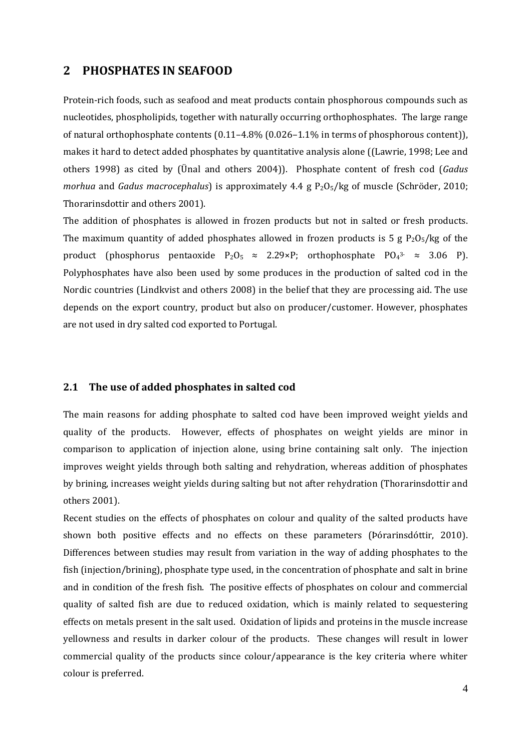### **2 PHOSPHATES IN SEAFOOD**

Protein‐rich foods, such as seafood and meat products contain phosphorous compounds such as nucleotides, phospholipids, together with naturally occurring orthophosphates. The large range of natural orthophosphate contents (0.11–4.8% (0.026–1.1% in terms of phosphorous content)), makes it hard to detect added phosphates by quantitative analysis alone ((Lawrie, 1998; Lee and others 1998) as cited by (Ünal and others 2004)). Phosphate content of fresh cod (*Gadus morhua* and *Gadus macrocephalus*) is approximately 4.4 g P<sub>2</sub>O<sub>5</sub>/kg of muscle (Schröder, 2010; Thorarinsdottir and others 2001).

The addition of phosphates is allowed in frozen products but not in salted or fresh products. The maximum quantity of added phosphates allowed in frozen products is 5  $g P_2O_5/kg$  of the product (phosphorus pentaoxide  $P_2O_5 \approx 2.29 \times P$ ; orthophosphate  $P_4^{3-} \approx 3.06$  P). Polyphosphates have also been used by some produces in the production of salted cod in the Nordic countries (Lindkvist and others 2008) in the belief that they are processing aid. The use depends on the export country, product but also on producer/customer. However, phosphates are not used in dry salted cod exported to Portugal.

#### **2.1 The use of added phosphates in salted cod**

The main reasons for adding phosphate to salted cod have been improved weight yields and quality of the products. However, effects of phosphates on weight yields are minor in comparison to application of injection alone, using brine containing salt only. The injection improves weight yields through both salting and rehydration, whereas addition of phosphates by brining, increases weight yields during salting but not after rehydration (Thorarinsdottir and others 2001).

Recent studies on the effects of phosphates on colour and quality of the salted products have shown both positive effects and no effects on these parameters (Þórarinsdóttir, 2010). Differences between studies may result from variation in the way of adding phosphates to the fish (injection/brining), phosphate type used, in the concentration of phosphate and salt in brine and in condition of the fresh fish. The positive effects of phosphates on colour and commercial quality of salted fish are due to reduced oxidation, which is mainly related to sequestering effects on metals present in the salt used. Oxidation of lipids and proteins in the muscle increase yellowness and results in darker colour of the products. These changes will result in lower commercial quality of the products since colour/appearance is the key criteria where whiter colour is preferred.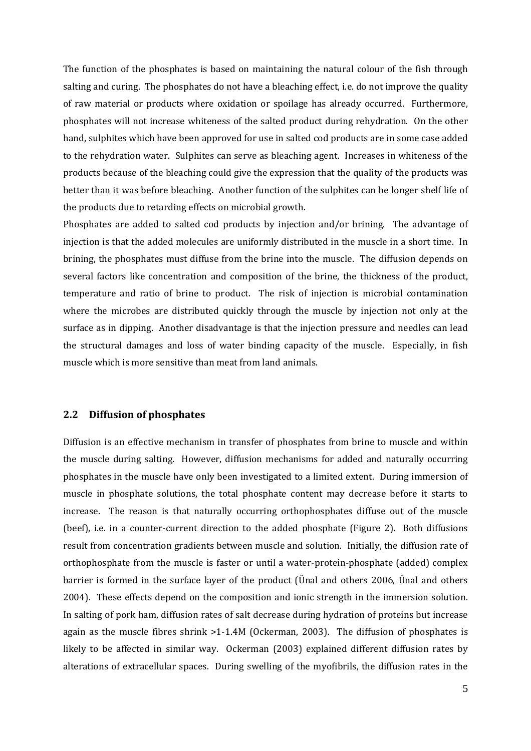The function of the phosphates is based on maintaining the natural colour of the fish through salting and curing. The phosphates do not have a bleaching effect, i.e. do not improve the quality of raw material or products where oxidation or spoilage has already occurred. Furthermore, phosphates will not increase whiteness of the salted product during rehydration. On the other hand, sulphites which have been approved for use in salted cod products are in some case added to the rehydration water. Sulphites can serve as bleaching agent. Increases in whiteness of the products because of the bleaching could give the expression that the quality of the products was better than it was before bleaching. Another function of the sulphites can be longer shelf life of the products due to retarding effects on microbial growth.

Phosphates are added to salted cod products by injection and/or brining. The advantage of injection is that the added molecules are uniformly distributed in the muscle in a short time. In brining, the phosphates must diffuse from the brine into the muscle. The diffusion depends on several factors like concentration and composition of the brine, the thickness of the product, temperature and ratio of brine to product. The risk of injection is microbial contamination where the microbes are distributed quickly through the muscle by injection not only at the surface as in dipping. Another disadvantage is that the injection pressure and needles can lead the structural damages and loss of water binding capacity of the muscle. Especially, in fish muscle which is more sensitive than meat from land animals.

#### **2.2 Diffusion of phosphates**

Diffusion is an effective mechanism in transfer of phosphates from brine to muscle and within the muscle during salting. However, diffusion mechanisms for added and naturally occurring phosphates in the muscle have only been investigated to a limited extent. During immersion of muscle in phosphate solutions, the total phosphate content may decrease before it starts to increase. The reason is that naturally occurring orthophosphates diffuse out of the muscle (beef), i.e. in a counter-current direction to the added phosphate (Figure 2). Both diffusions result from concentration gradients between muscle and solution. Initially, the diffusion rate of orthophosphate from the muscle is faster or until a water‐protein‐phosphate (added) complex barrier is formed in the surface layer of the product (Unal and others 2006, Unal and others 2004). These effects depend on the composition and ionic strength in the immersion solution. In salting of pork ham, diffusion rates of salt decrease during hydration of proteins but increase again as the muscle fibres shrink >1-1.4M (Ockerman, 2003). The diffusion of phosphates is likely to be affected in similar way. Ockerman (2003) explained different diffusion rates by alterations of extracellular spaces. During swelling of the myofibrils, the diffusion rates in the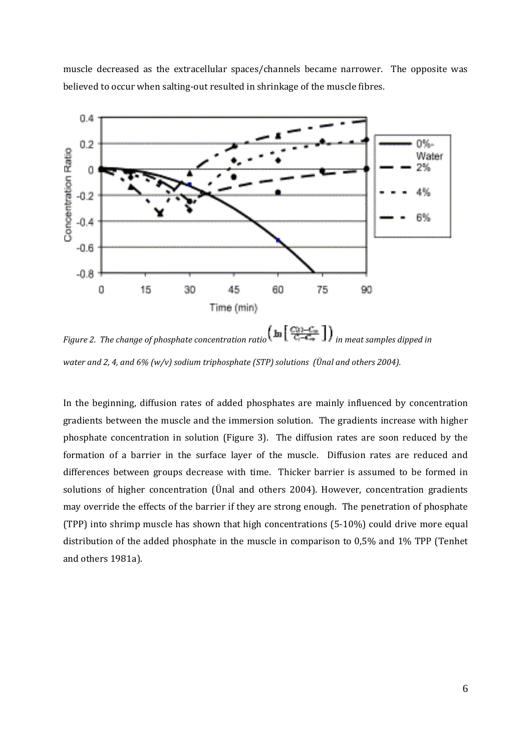muscle decreased as the extracellular spaces/channels became narrower. The opposite was believed to occur when salting‐out resulted in shrinkage of the muscle fibres.



*Figure* 2. *The change of phosphate concentration ratio*  $\left(\ln\left[\frac{C(t)-C_{\infty}}{C_{t}-C_{\infty}}\right]\right)$  *in meat samples dipped in water and 2, 4, and 6% (w/v) sodium triphosphate (STP) solutions (Ünal and others 2004).*

In the beginning, diffusion rates of added phosphates are mainly influenced by concentration gradients between the muscle and the immersion solution. The gradients increase with higher phosphate concentration in solution (Figure 3). The diffusion rates are soon reduced by the formation of a barrier in the surface layer of the muscle. Diffusion rates are reduced and differences between groups decrease with time. Thicker barrier is assumed to be formed in solutions of higher concentration (Ünal and others 2004). However, concentration gradients may override the effects of the barrier if they are strong enough. The penetration of phosphate (TPP) into shrimp muscle has shown that high concentrations (5‐10%) could drive more equal distribution of the added phosphate in the muscle in comparison to 0,5% and 1% TPP (Tenhet and others 1981a).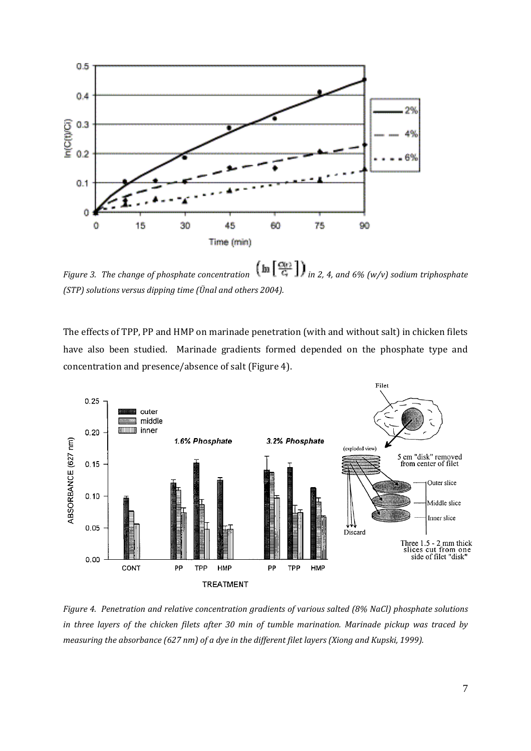

*Figure 3. The change of phosphate concentration in 2, 4, and 6% (w/v) sodium triphosphate (STP) solutions versus dipping time (Ünal and others 2004).*

The effects of TPP, PP and HMP on marinade penetration (with and without salt) in chicken filets have also been studied. Marinade gradients formed depended on the phosphate type and concentration and presence/absence of salt (Figure 4).



*Figure 4. Penetration and relative concentration gradients of various salted (8% NaCl) phosphate solutions* in three layers of the chicken filets after 30 min of tumble marination. Marinade pickup was traced by *measuring the absorbance (627 nm) of a dye in the different filet layers (Xiong and Kupski, 1999).*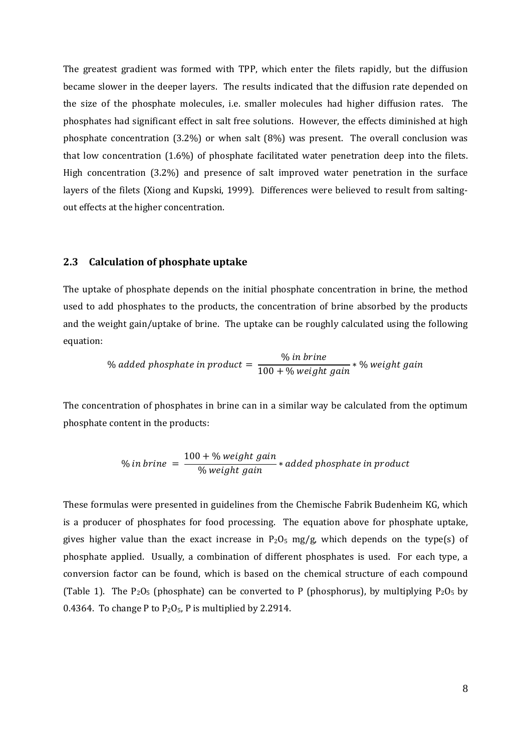The greatest gradient was formed with TPP, which enter the filets rapidly, but the diffusion became slower in the deeper layers. The results indicated that the diffusion rate depended on the size of the phosphate molecules, i.e. smaller molecules had higher diffusion rates. The phosphates had significant effect in salt free solutions. However, the effects diminished at high phosphate concentration  $(3.2\%)$  or when salt  $(8\%)$  was present. The overall conclusion was that low concentration (1.6%) of phosphate facilitated water penetration deep into the filets. High concentration (3.2%) and presence of salt improved water penetration in the surface layers of the filets (Xiong and Kupski, 1999). Differences were believed to result from saltingout effects at the higher concentration.

#### **2.3 Calculation of phosphate uptake**

The uptake of phosphate depends on the initial phosphate concentration in brine, the method used to add phosphates to the products, the concentration of brine absorbed by the products and the weight gain/uptake of brine. The uptake can be roughly calculated using the following equation:

> ݅݊݁ݎ% ݅݊ ܾ% added phosphate in product  $=\frac{75.06 \text{ m/s}}{100 + % \text{weight gain}} * %$  weight gain

The concentration of phosphates in brine can in a similar way be calculated from the optimum phosphate content in the products:

$$
\% in brine = \frac{100 + % weight gain}{% weight gain} * added phosphate in product
$$

These formulas were presented in guidelines from the Chemische Fabrik Budenheim KG, which is a producer of phosphates for food processing. The equation above for phosphate uptake, gives higher value than the exact increase in  $P_2O_5$  mg/g, which depends on the type(s) of phosphate applied. Usually, a combination of different phosphates is used. For each type, a conversion factor can be found, which is based on the chemical structure of each compound (Table 1). The  $P_2O_5$  (phosphate) can be converted to P (phosphorus), by multiplying  $P_2O_5$  by 0.4364. To change P to  $P_2O_5$ , P is multiplied by 2.2914.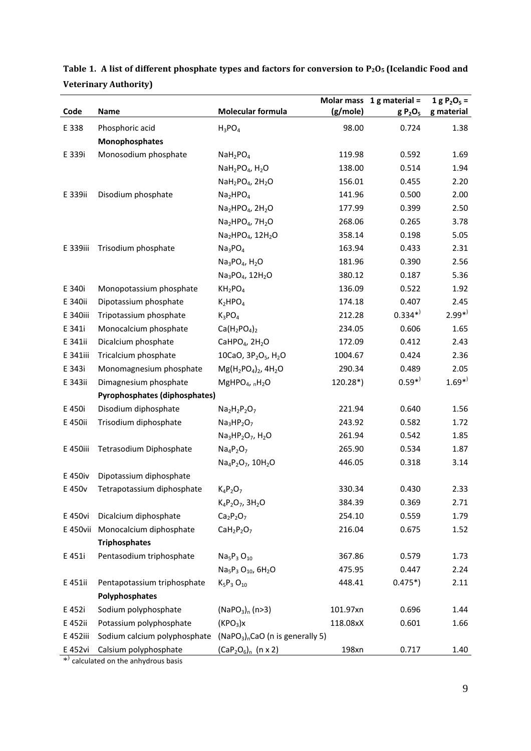|          |                                      |                                                                    |          | Molar mass $1$ g material =     | 1 g $P_2O_5 =$ |
|----------|--------------------------------------|--------------------------------------------------------------------|----------|---------------------------------|----------------|
| Code     | Name                                 | Molecular formula                                                  | (g/mole) | g P <sub>2</sub> O <sub>5</sub> | g material     |
| E 338    | Phosphoric acid                      | $H_3PO_4$                                                          | 98.00    | 0.724                           | 1.38           |
|          | Monophosphates                       |                                                                    |          |                                 |                |
| E 339i   | Monosodium phosphate                 | NaH <sub>2</sub> PO <sub>4</sub>                                   | 119.98   | 0.592                           | 1.69           |
|          |                                      | $NaH2PO4, H2O$                                                     | 138.00   | 0.514                           | 1.94           |
|          |                                      | NaH <sub>2</sub> PO <sub>4</sub> , 2H <sub>2</sub> O               | 156.01   | 0.455                           | 2.20           |
| E 339ii  | Disodium phosphate                   | Na <sub>2</sub> HPO <sub>4</sub>                                   | 141.96   | 0.500                           | 2.00           |
|          |                                      | $Na2HPO4$ , 2H <sub>2</sub> O                                      | 177.99   | 0.399                           | 2.50           |
|          |                                      | $Na2HPO4$ , 7H <sub>2</sub> O                                      | 268.06   | 0.265                           | 3.78           |
|          |                                      | Na2HPO <sub>4</sub> , 12H <sub>2</sub> O                           | 358.14   | 0.198                           | 5.05           |
| E 339iii | Trisodium phosphate                  | Na <sub>3</sub> PO <sub>4</sub>                                    | 163.94   | 0.433                           | 2.31           |
|          |                                      | $Na3PO4, H2O$                                                      | 181.96   | 0.390                           | 2.56           |
|          |                                      | Na <sub>3</sub> PO <sub>4</sub> , 12H <sub>2</sub> O               | 380.12   | 0.187                           | 5.36           |
| E 340i   | Monopotassium phosphate              | KH <sub>2</sub> PO <sub>4</sub>                                    | 136.09   | 0.522                           | 1.92           |
| E 340ii  | Dipotassium phosphate                | $K_2HPO_4$                                                         | 174.18   | 0.407                           | 2.45           |
| E 340iii | Tripotassium phosphate               | $K_3PO_4$                                                          | 212.28   | $0.334^{*}$                     | $2.99^{*}$     |
| E 341i   | Monocalcium phosphate                | $Ca(H_2PO_4)_2$                                                    | 234.05   | 0.606                           | 1.65           |
| E 341ii  | Dicalcium phosphate                  | CaHPO <sub>4</sub> , $2H2O$                                        | 172.09   | 0.412                           | 2.43           |
| E 341iii | Tricalcium phosphate                 | 10CaO, 3P <sub>2</sub> O <sub>5</sub> , H <sub>2</sub> O           | 1004.67  | 0.424                           | 2.36           |
| E 343i   | Monomagnesium phosphate              | $Mg(H_2PO_4)_2$ , 4H <sub>2</sub> O                                | 290.34   | 0.489                           | 2.05           |
| E 343ii  | Dimagnesium phosphate                | MgHPO <sub>4</sub> , $nH_2O$                                       | 120.28*) | $0.59^{*}$                      | $1.69*$        |
|          | <b>Pyrophosphates (diphosphates)</b> |                                                                    |          |                                 |                |
| E 450i   | Disodium diphosphate                 | $Na2H2P2O7$                                                        | 221.94   | 0.640                           | 1.56           |
| E 450ii  | Trisodium diphosphate                | $Na3HP2O7$                                                         | 243.92   | 0.582                           | 1.72           |
|          |                                      | $Na3HP2O7$ , H <sub>2</sub> O                                      | 261.94   | 0.542                           | 1.85           |
| E 450iii | Tetrasodium Diphosphate              | $Na_4P_2O_7$                                                       | 265.90   | 0.534                           | 1.87           |
|          |                                      | Na <sub>4</sub> P <sub>2</sub> O <sub>7</sub> , 10H <sub>2</sub> O | 446.05   | 0.318                           | 3.14           |
| E 450iv  | Dipotassium diphosphate              |                                                                    |          |                                 |                |
| E 450v   | Tetrapotassium diphosphate           | $K_4P_2O_7$                                                        | 330.34   | 0.430                           | 2.33           |
|          |                                      | $K_4P_2O_7$ , 3H <sub>2</sub> O                                    | 384.39   | 0.369                           | 2.71           |
| E 450vi  | Dicalcium diphosphate                | $Ca2P2O7$                                                          | 254.10   | 0.559                           | 1.79           |
| E 450vii | Monocalcium diphosphate              | $CaH2P2O7$                                                         | 216.04   | 0.675                           | 1.52           |
|          | <b>Triphosphates</b>                 |                                                                    |          |                                 |                |
| E 451i   | Pentasodium triphosphate             | $Na5P3 O10$                                                        | 367.86   | 0.579                           | 1.73           |
|          |                                      | Na <sub>5</sub> P <sub>3</sub> O <sub>10</sub> , 6H <sub>2</sub> O | 475.95   | 0.447                           | 2.24           |
| E 451ii  | Pentapotassium triphosphate          | $K_5P_3O_{10}$                                                     | 448.41   | $0.475*)$                       | 2.11           |
|          | Polyphosphates                       |                                                                    |          |                                 |                |
| E 452i   | Sodium polyphosphate                 | $(NaPO3)n$ (n>3)                                                   | 101.97xn | 0.696                           | 1.44           |
| E 452ii  | Potassium polyphosphate              | (KPO <sub>3</sub> )x                                               | 118.08xX | 0.601                           | 1.66           |
| E 452iii | Sodium calcium polyphosphate         | $(NaPO3)nCaO$ (n is generally 5)                                   |          |                                 |                |
| E 452vi  | Calsium polyphosphate                | $(CaP_2O_6)_n$ (n x 2)                                             | 198xn    | 0.717                           | 1.40           |

Table 1. A list of different phosphate types and factors for conversion to  $P_2O_5$  (Icelandic Food and **Veterinary Authority)**

\*<sup>)</sup> calculated on the anhydrous basis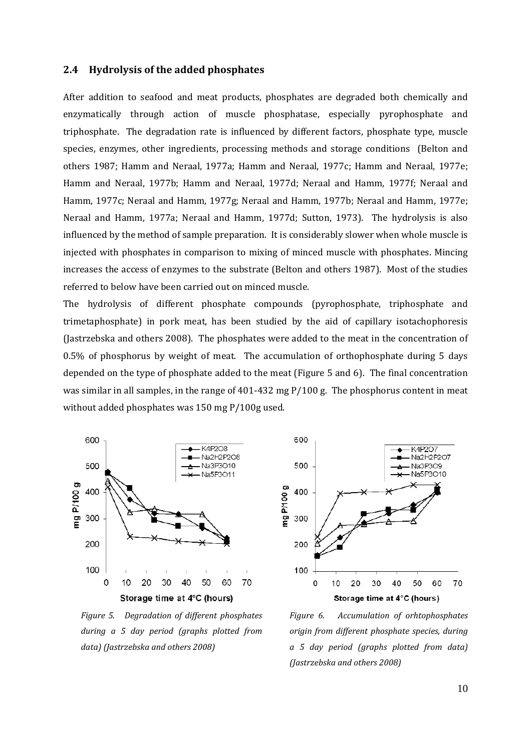#### **2.4 Hydrolysis of the added phosphates**

After addition to seafood and meat products, phosphates are degraded both chemically and enzymatically through action of muscle phosphatase, especially pyrophosphate and triphosphate. The degradation rate is influenced by different factors, phosphate type, muscle species, enzymes, other ingredients, processing methods and storage conditions (Belton and others 1987; Hamm and Neraal, 1977a; Hamm and Neraal, 1977c; Hamm and Neraal, 1977e; Hamm and Neraal, 1977b; Hamm and Neraal, 1977d; Neraal and Hamm, 1977f; Neraal and Hamm, 1977c; Neraal and Hamm, 1977g; Neraal and Hamm, 1977b; Neraal and Hamm, 1977e; Neraal and Hamm, 1977a; Neraal and Hamm, 1977d; Sutton, 1973). The hydrolysis is also influenced by the method of sample preparation. It is considerably slower when whole muscle is injected with phosphates in comparison to mixing of minced muscle with phosphates. Mincing increases the access of enzymes to the substrate (Belton and others 1987). Most of the studies referred to below have been carried out on minced muscle.

The hydrolysis of different phosphate compounds (pyrophosphate, triphosphate and trimetaphosphate) in pork meat, has been studied by the aid of capillary isotachophoresis (Jastrzebska and others 2008). The phosphates were added to the meat in the concentration of 0.5% of phosphorus by weight of meat. The accumulation of orthophosphate during 5 days depended on the type of phosphate added to the meat (Figure 5 and 6). The final concentration was similar in all samples, in the range of  $401-432$  mg  $P/100$  g. The phosphorus content in meat without added phosphates was 150 mg P/100g used.



*Figure 5. Degradation of different phosphates during a 5 day period (graphs plotted from data) (Jastrzebska and others 2008)*



*Figure 6. Accumulation of orhtophosphates origin from different phosphate species, during a 5 day period (graphs plotted from data) (Jastrzebska and others 2008)*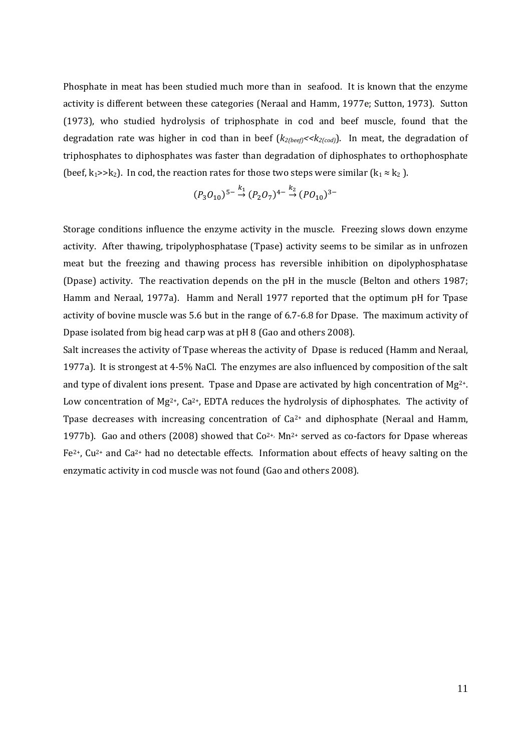Phosphate in meat has been studied much more than in seafood. It is known that the enzyme activity is different between these categories (Neraal and Hamm, 1977e; Sutton, 1973). Sutton (1973), who studied hydrolysis of triphosphate in cod and beef muscle, found that the degradation rate was higher in cod than in beef (*k2(beef)<<k2(cod)*). In meat, the degradation of triphosphates to diphosphates was faster than degradation of diphosphates to orthophosphate (beef,  $k_1$ >> $k_2$ ). In cod, the reaction rates for those two steps were similar ( $k_1 \approx k_2$ ).

$$
(P_3O_{10})^{5-}\stackrel{k_1}{\rightarrow}(P_2O_7)^{4-}\stackrel{k_2}{\rightarrow}(PO_{10})^{3-}
$$

Storage conditions influence the enzyme activity in the muscle. Freezing slows down enzyme activity. After thawing, tripolyphosphatase (Tpase) activity seems to be similar as in unfrozen meat but the freezing and thawing process has reversible inhibition on dipolyphosphatase (Dpase) activity. The reactivation depends on the pH in the muscle (Belton and others 1987; Hamm and Neraal, 1977a). Hamm and Nerall 1977 reported that the optimum pH for Tpase activity of bovine muscle was 5.6 but in the range of 6.7‐6.8 for Dpase. The maximum activity of Dpase isolated from big head carp was at pH 8 (Gao and others 2008).

Salt increases the activity of Tpase whereas the activity of Dpase is reduced (Hamm and Neraal, 1977a). It is strongest at 4‐5% NaCl. The enzymes are also influenced by composition of the salt and type of divalent ions present. Tpase and Dpase are activated by high concentration of Mg<sup>2+</sup>. Low concentration of Mg<sup>2+</sup>, Ca<sup>2+</sup>, EDTA reduces the hydrolysis of diphosphates. The activity of Tpase decreases with increasing concentration of  $Ca<sup>2+</sup>$  and diphosphate (Neraal and Hamm, 1977b). Gao and others (2008) showed that  $Co^{2+}$ , Mn<sup>2+</sup> served as co-factors for Dpase whereas  $Fe<sup>2+</sup>$ , Cu<sup>2+</sup> and Ca<sup>2+</sup> had no detectable effects. Information about effects of heavy salting on the enzymatic activity in cod muscle was not found (Gao and others 2008).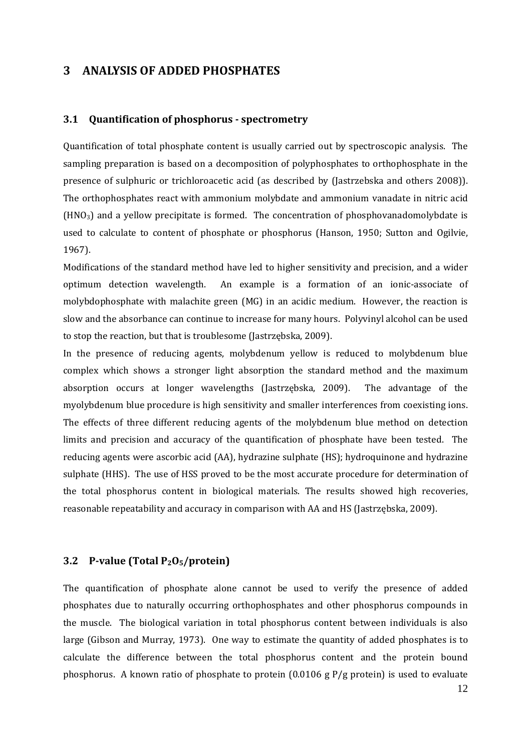## **3 ANALYSIS OF ADDED PHOSPHATES**

#### **3.1 Quantification of phosphorus spectrometry**

Quantification of total phosphate content is usually carried out by spectroscopic analysis. The sampling preparation is based on a decomposition of polyphosphates to orthophosphate in the presence of sulphuric or trichloroacetic acid (as described by (Jastrzebska and others 2008)). The orthophosphates react with ammonium molybdate and ammonium vanadate in nitric acid  $(HNO<sub>3</sub>)$  and a yellow precipitate is formed. The concentration of phosphovanadomolybdate is used to calculate to content of phosphate or phosphorus (Hanson, 1950; Sutton and Ogilvie, 1967).

Modifications of the standard method have led to higher sensitivity and precision, and a wider optimum detection wavelength. An example is a formation of an ionic‐associate of molybdophosphate with malachite green  $(MG)$  in an acidic medium. However, the reaction is slow and the absorbance can continue to increase for many hours. Polyvinyl alcohol can be used to stop the reaction, but that is troublesome (Jastrzębska, 2009).

In the presence of reducing agents, molybdenum yellow is reduced to molybdenum blue complex which shows a stronger light absorption the standard method and the maximum absorption occurs at longer wavelengths (Jastrzębska, 2009). The advantage of the myolybdenum blue procedure is high sensitivity and smaller interferences from coexisting ions. The effects of three different reducing agents of the molybdenum blue method on detection limits and precision and accuracy of the quantification of phosphate have been tested. The reducing agents were ascorbic acid (AA), hydrazine sulphate (HS); hydroquinone and hydrazine sulphate (HHS). The use of HSS proved to be the most accurate procedure for determination of the total phosphorus content in biological materials. The results showed high recoveries, reasonable repeatability and accuracy in comparison with AA and HS (Jastrzębska, 2009).

#### **3.2 Pvalue (Total P2O5/protein)**

The quantification of phosphate alone cannot be used to verify the presence of added phosphates due to naturally occurring orthophosphates and other phosphorus compounds in the muscle. The biological variation in total phosphorus content between individuals is also large (Gibson and Murray, 1973). One way to estimate the quantity of added phosphates is to calculate the difference between the total phosphorus content and the protein bound phosphorus. A known ratio of phosphate to protein (0.0106 g P/g protein) is used to evaluate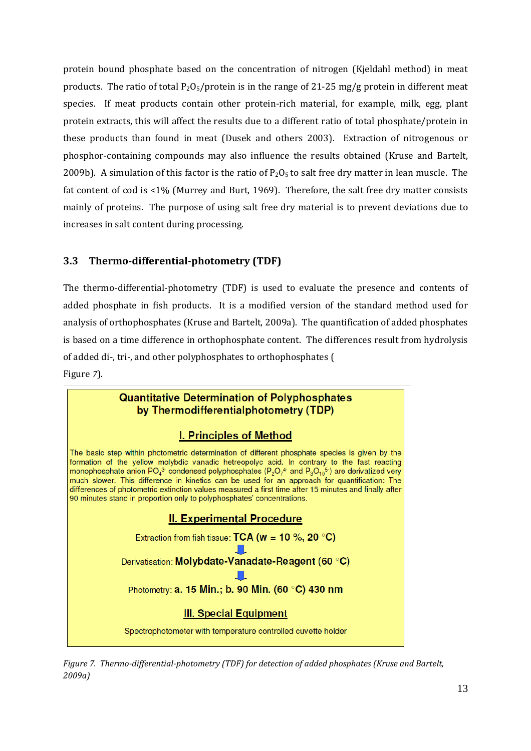protein bound phosphate based on the concentration of nitrogen (Kjeldahl method) in meat products. The ratio of total  $P_2O_5$ /protein is in the range of 21-25 mg/g protein in different meat species. If meat products contain other protein-rich material, for example, milk, egg, plant protein extracts, this will affect the results due to a different ratio of total phosphate/protein in these products than found in meat (Dusek and others 2003). Extraction of nitrogenous or phosphor‐containing compounds may also influence the results obtained (Kruse and Bartelt, 2009b). A simulation of this factor is the ratio of  $P_2O_5$  to salt free dry matter in lean muscle. The fat content of cod is <1% (Murrey and Burt, 1969). Therefore, the salt free dry matter consists mainly of proteins. The purpose of using salt free dry material is to prevent deviations due to increases in salt content during processing.

#### **3.3 Thermodifferentialphotometry (TDF)**

The thermo-differential-photometry (TDF) is used to evaluate the presence and contents of added phosphate in fish products. It is a modified version of the standard method used for analysis of orthophosphates (Kruse and Bartelt, 2009a). The quantification of added phosphates is based on a time difference in orthophosphate content. The differences result from hydrolysis of added di‐, tri‐, and other polyphosphates to orthophosphates ( Figure *7*).



*Figure 7. Thermodifferentialphotometry (TDF) for detection of added phosphates (Kruse and Bartelt, 2009a)*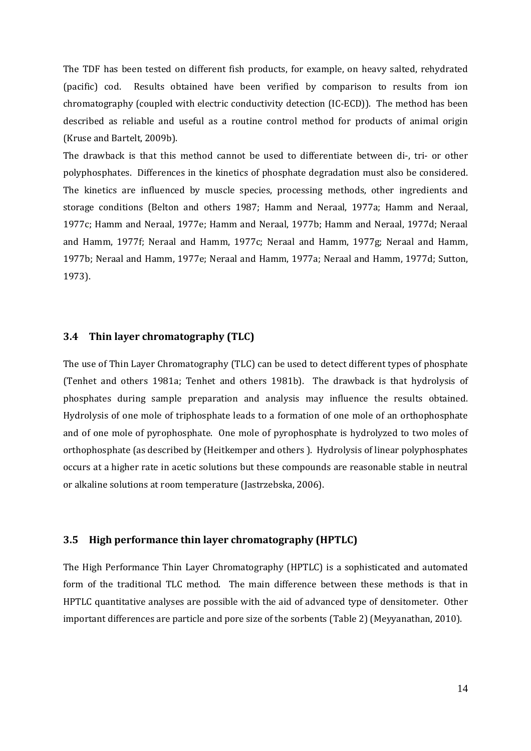The TDF has been tested on different fish products, for example, on heavy salted, rehydrated (pacific) cod. Results obtained have been verified by comparison to results from ion chromatography (coupled with electric conductivity detection (IC‐ECD)). The method has been described as reliable and useful as a routine control method for products of animal origin (Kruse and Bartelt, 2009b).

The drawback is that this method cannot be used to differentiate between di-, tri- or other polyphosphates. Differences in the kinetics of phosphate degradation must also be considered. The kinetics are influenced by muscle species, processing methods, other ingredients and storage conditions (Belton and others 1987; Hamm and Neraal, 1977a; Hamm and Neraal, 1977c; Hamm and Neraal, 1977e; Hamm and Neraal, 1977b; Hamm and Neraal, 1977d; Neraal and Hamm, 1977f; Neraal and Hamm, 1977c; Neraal and Hamm, 1977g; Neraal and Hamm, 1977b; Neraal and Hamm, 1977e; Neraal and Hamm, 1977a; Neraal and Hamm, 1977d; Sutton, 1973).

#### **3.4 Thin layer chromatography (TLC)**

The use of Thin Layer Chromatography (TLC) can be used to detect different types of phosphate (Tenhet and others 1981a; Tenhet and others 1981b). The drawback is that hydrolysis of phosphates during sample preparation and analysis may influence the results obtained. Hydrolysis of one mole of triphosphate leads to a formation of one mole of an orthophosphate and of one mole of pyrophosphate. One mole of pyrophosphate is hydrolyzed to two moles of orthophosphate (as described by (Heitkemper and others ). Hydrolysis of linear polyphosphates occurs at a higher rate in acetic solutions but these compounds are reasonable stable in neutral or alkaline solutions at room temperature (Jastrzebska, 2006).

#### **3.5 High performance thin layer chromatography (HPTLC)**

The High Performance Thin Layer Chromatography (HPTLC) is a sophisticated and automated form of the traditional TLC method. The main difference between these methods is that in HPTLC quantitative analyses are possible with the aid of advanced type of densitometer. Other important differences are particle and pore size of the sorbents (Table 2) (Meyyanathan, 2010).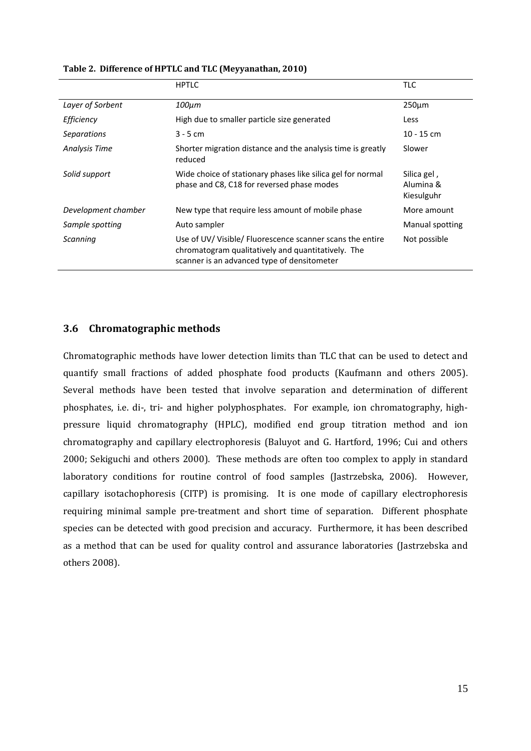|                      | <b>HPTLC</b>                                                                                                                                                   | <b>TLC</b>                             |
|----------------------|----------------------------------------------------------------------------------------------------------------------------------------------------------------|----------------------------------------|
| Layer of Sorbent     | $100 \mu m$                                                                                                                                                    | $250 \mu m$                            |
| Efficiency           | High due to smaller particle size generated                                                                                                                    | Less                                   |
| <i>Separations</i>   | $3 - 5$ cm                                                                                                                                                     | $10 - 15$ cm                           |
| <b>Analysis Time</b> | Shorter migration distance and the analysis time is greatly<br>reduced                                                                                         | Slower                                 |
| Solid support        | Wide choice of stationary phases like silica gel for normal<br>phase and C8, C18 for reversed phase modes                                                      | Silica gel,<br>Alumina &<br>Kiesulguhr |
| Development chamber  | New type that require less amount of mobile phase                                                                                                              | More amount                            |
| Sample spotting      | Auto sampler                                                                                                                                                   | Manual spotting                        |
| Scanning             | Use of UV/ Visible/ Fluorescence scanner scans the entire<br>chromatogram qualitatively and quantitatively. The<br>scanner is an advanced type of densitometer | Not possible                           |

**Table 2. Difference of HPTLC and TLC (Meyyanathan, 2010)**

#### **3.6 Chromatographic methods**

Chromatographic methods have lower detection limits than TLC that can be used to detect and quantify small fractions of added phosphate food products (Kaufmann and others 2005). Several methods have been tested that involve separation and determination of different phosphates, i.e. di‐, tri‐ and higher polyphosphates. For example, ion chromatography, high‐ pressure liquid chromatography (HPLC), modified end group titration method and ion chromatography and capillary electrophoresis (Baluyot and G. Hartford, 1996; Cui and others 2000; Sekiguchi and others 2000). These methods are often too complex to apply in standard laboratory conditions for routine control of food samples (Jastrzebska, 2006). However, capillary isotachophoresis (CITP) is promising. It is one mode of capillary electrophoresis requiring minimal sample pre-treatment and short time of separation. Different phosphate species can be detected with good precision and accuracy. Furthermore, it has been described as a method that can be used for quality control and assurance laboratories (Jastrzebska and others 2008).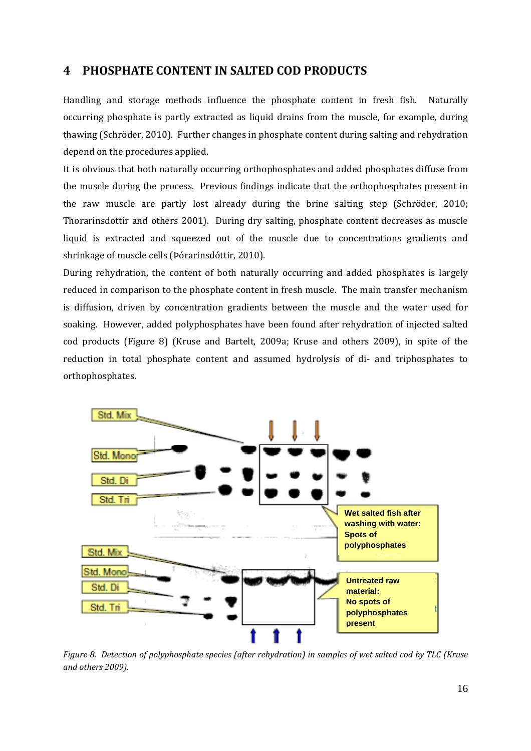# **4 PHOSPHATE CONTENT IN SALTED COD PRODUCTS**

Handling and storage methods influence the phosphate content in fresh fish. Naturally occurring phosphate is partly extracted as liquid drains from the muscle, for example, during thawing (Schröder, 2010). Further changes in phosphate content during salting and rehydration depend on the procedures applied.

It is obvious that both naturally occurring orthophosphates and added phosphates diffuse from the muscle during the process. Previous findings indicate that the orthophosphates present in the raw muscle are partly lost already during the brine salting step (Schröder, 2010; Thorarinsdottir and others 2001). During dry salting, phosphate content decreases as muscle liquid is extracted and squeezed out of the muscle due to concentrations gradients and shrinkage of muscle cells (Þórarinsdóttir, 2010).

During rehydration, the content of both naturally occurring and added phosphates is largely reduced in comparison to the phosphate content in fresh muscle. The main transfer mechanism is diffusion, driven by concentration gradients between the muscle and the water used for soaking. However, added polyphosphates have been found after rehydration of injected salted cod products (Figure 8) (Kruse and Bartelt, 2009a; Kruse and others 2009), in spite of the reduction in total phosphate content and assumed hydrolysis of di- and triphosphates to orthophosphates.



Figure 8. Detection of polyphosphate species (after rehydration) in samples of wet salted cod by TLC (Kruse *and others 2009).*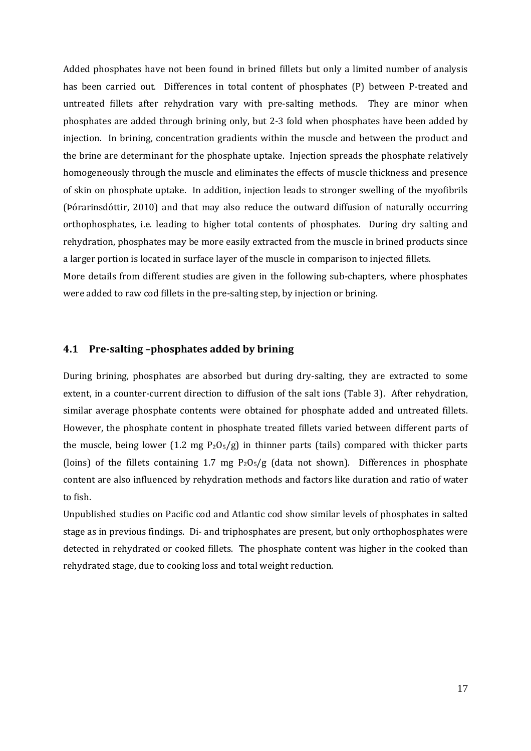Added phosphates have not been found in brined fillets but only a limited number of analysis has been carried out. Differences in total content of phosphates (P) between P-treated and untreated fillets after rehydration vary with pre-salting methods. They are minor when phosphates are added through brining only, but 2‐3 fold when phosphates have been added by injection. In brining, concentration gradients within the muscle and between the product and the brine are determinant for the phosphate uptake. Injection spreads the phosphate relatively homogeneously through the muscle and eliminates the effects of muscle thickness and presence of skin on phosphate uptake. In addition, injection leads to stronger swelling of the myofibrils (Þórarinsdóttir, 2010) and that may also reduce the outward diffusion of naturally occurring orthophosphates, i.e. leading to higher total contents of phosphates. During dry salting and rehydration, phosphates may be more easily extracted from the muscle in brined products since a larger portion is located in surface layer of the muscle in comparison to injected fillets.

More details from different studies are given in the following sub-chapters, where phosphates were added to raw cod fillets in the pre-salting step, by injection or brining.

#### **4.1 Presalting –phosphates added by brining**

During brining, phosphates are absorbed but during dry-salting, they are extracted to some extent, in a counter-current direction to diffusion of the salt ions (Table 3). After rehydration, similar average phosphate contents were obtained for phosphate added and untreated fillets. However, the phosphate content in phosphate treated fillets varied between different parts of the muscle, being lower  $(1.2 \text{ mg } P_2O_5/g)$  in thinner parts (tails) compared with thicker parts (loins) of the fillets containing 1.7 mg  $P_2O_5/g$  (data not shown). Differences in phosphate content are also influenced by rehydration methods and factors like duration and ratio of water to fish.

Unpublished studies on Pacific cod and Atlantic cod show similar levels of phosphates in salted stage as in previous findings. Di‐ and triphosphates are present, but only orthophosphates were detected in rehydrated or cooked fillets. The phosphate content was higher in the cooked than rehydrated stage, due to cooking loss and total weight reduction.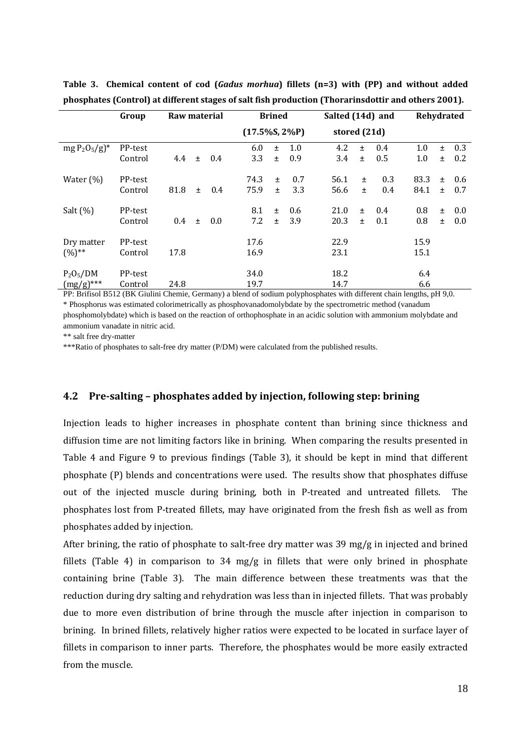|                            | Group   | Raw material |     |     | <b>Brined</b>     |       | Salted (14d) and |              |       |     | Rehydrated |       |     |
|----------------------------|---------|--------------|-----|-----|-------------------|-------|------------------|--------------|-------|-----|------------|-------|-----|
|                            |         |              |     |     | $(17.5\%S, 2\%P)$ |       |                  | stored (21d) |       |     |            |       |     |
| $mg P_2O_5/g$ <sup>*</sup> | PP-test |              |     |     | 6.0               | $\pm$ | 1.0              | 4.2          | $\pm$ | 0.4 | 1.0        | 土     | 0.3 |
|                            | Control | 4.4          | $+$ | 0.4 | 3.3               | $\pm$ | 0.9              | 3.4          | $+$   | 0.5 | 1.0        | $\pm$ | 0.2 |
| Water $(\%)$               | PP-test |              |     |     | 74.3              | $\pm$ | 0.7              | 56.1         | $\pm$ | 0.3 | 83.3       | $\pm$ | 0.6 |
|                            | Control | 81.8         | $+$ | 0.4 | 75.9              | $\pm$ | 3.3              | 56.6         | $+$   | 0.4 | 84.1       | $+$   | 0.7 |
| Salt $(%)$                 | PP-test |              |     |     | 8.1               | $\pm$ | 0.6              | 21.0         | $+$   | 0.4 | 0.8        | 土     | 0.0 |
|                            | Control | 0.4          | $+$ | 0.0 | 7.2               | $\pm$ | 3.9              | 20.3         | $+$   | 0.1 | 0.8        | Ŧ.    | 0.0 |
| Dry matter                 | PP-test |              |     |     | 17.6              |       |                  | 22.9         |       |     | 15.9       |       |     |
| $(%)^{**}$                 | Control | 17.8         |     |     | 16.9              |       |                  | 23.1         |       |     | 15.1       |       |     |
| $P_2O_5/DM$                | PP-test |              |     |     | 34.0              |       |                  | 18.2         |       |     | 6.4        |       |     |
| $(mg/g)$ ***               | Control | 24.8         |     |     | 19.7              |       |                  | 14.7         |       |     | 6.6        |       |     |

**Table 3. Chemical content of cod (***Gadus morhua***) fillets (n=3) with (PP) and without added phosphates (Control) at different stages of salt fish production (Thorarinsdottir and others 2001).**

PP: Brifisol B512 (BK Giulini Chemie, Germany) a blend of sodium polyphosphates with different chain lengths, pH 9,0. \* Phosphorus was estimated colorimetrically as phosphovanadomolybdate by the spectrometric method (vanadum phosphomolybdate) which is based on the reaction of orthophosphate in an acidic solution with ammonium molybdate and ammonium vanadate in nitric acid.

\*\* salt free dry-matter

\*\*\*Ratio of phosphates to salt-free dry matter (P/DM) were calculated from the published results.

#### **4.2 Presalting – phosphates added by injection, following step: brining**

Injection leads to higher increases in phosphate content than brining since thickness and diffusion time are not limiting factors like in brining. When comparing the results presented in Table 4 and Figure 9 to previous findings (Table 3), it should be kept in mind that different phosphate (P) blends and concentrations were used. The results show that phosphates diffuse out of the injected muscle during brining, both in P-treated and untreated fillets. The phosphates lost from P‐treated fillets, may have originated from the fresh fish as well as from phosphates added by injection.

After brining, the ratio of phosphate to salt‐free dry matter was 39 mg/g in injected and brined fillets (Table 4) in comparison to 34 mg/g in fillets that were only brined in phosphate containing brine (Table 3). The main difference between these treatments was that the reduction during dry salting and rehydration was less than in injected fillets. That was probably due to more even distribution of brine through the muscle after injection in comparison to brining. In brined fillets, relatively higher ratios were expected to be located in surface layer of fillets in comparison to inner parts. Therefore, the phosphates would be more easily extracted from the muscle.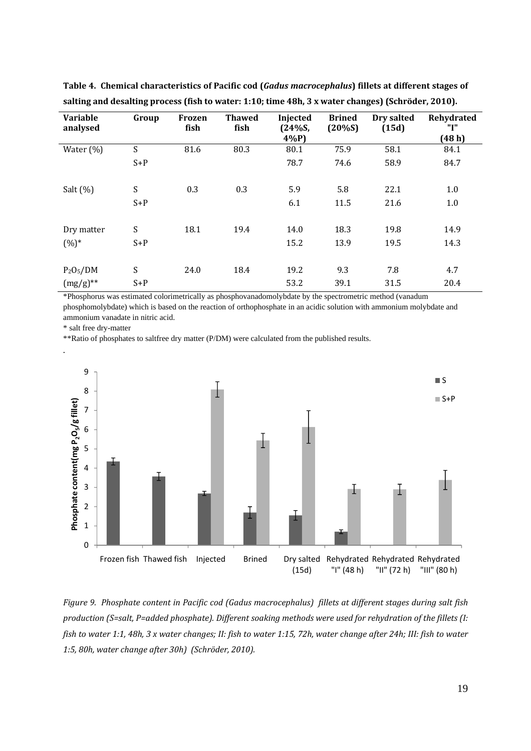| <b>Variable</b><br>analysed | Group                     | Frozen<br>fish | <b>Thawed</b><br>fish | Injected<br>(24%S, | <b>Brined</b><br>(20%S) | Dry salted<br>(15d) | Rehydrated<br>"I" |
|-----------------------------|---------------------------|----------------|-----------------------|--------------------|-------------------------|---------------------|-------------------|
|                             |                           |                |                       | $4\%P$             |                         |                     | (48h)             |
| Water $(\%)$                | S                         | 81.6           | 80.3                  | 80.1               | 75.9                    | 58.1                | 84.1              |
|                             | $S+P$                     |                |                       | 78.7               | 74.6                    | 58.9                | 84.7              |
|                             |                           |                |                       |                    |                         |                     |                   |
| Salt $(\% )$                | S                         | 0.3            | 0.3                   | 5.9                | 5.8                     | 22.1                | 1.0               |
|                             | $S+P$                     |                |                       | 6.1                | 11.5                    | 21.6                | 1.0               |
|                             |                           |                |                       |                    |                         |                     |                   |
| Dry matter                  | S                         | 18.1           | 19.4                  | 14.0               | 18.3                    | 19.8                | 14.9              |
| $(%)^*$                     | $S+P$                     |                |                       | 15.2               | 13.9                    | 19.5                | 14.3              |
|                             |                           |                |                       |                    |                         |                     |                   |
| $P_2O_5/DM$                 | $\boldsymbol{\mathsf{S}}$ | 24.0           | 18.4                  | 19.2               | 9.3                     | 7.8                 | 4.7               |
| $(mg/g)$ **                 | $S+P$                     |                |                       | 53.2               | 39.1                    | 31.5                | 20.4              |

**Table 4. Chemical characteristics of Pacific cod (***Gadus macrocephalus***) fillets at different stages of salting and desalting process (fish to water: 1:10; time 48h, 3 x water changes) (Schröder, 2010).**

\*Phosphorus was estimated colorimetrically as phosphovanadomolybdate by the spectrometric method (vanadum phosphomolybdate) which is based on the reaction of orthophosphate in an acidic solution with ammonium molybdate and ammonium vanadate in nitric acid.

\* salt free dry-matter

.

\*\*Ratio of phosphates to saltfree dry matter (P/DM) were calculated from the published results.



Figure 9. Phosphate content in Pacific cod (Gadus macrocephalus) fillets at different stages during salt fish *production (S=salt, P=added phosphate). Different soaking methods were used for rehydration of the fillets (I:* fish to water 1:1, 48h, 3 x water changes; II: fish to water 1:15, 72h, water change after 24h; III: fish to water *1:5, 80h, water change after 30h) (Schröder, 2010).*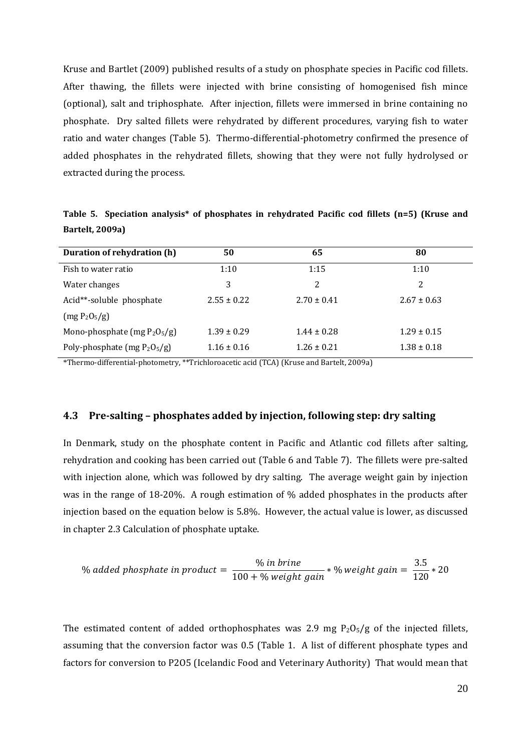Kruse and Bartlet (2009) published results of a study on phosphate species in Pacific cod fillets. After thawing, the fillets were injected with brine consisting of homogenised fish mince (optional), salt and triphosphate. After injection, fillets were immersed in brine containing no phosphate. Dry salted fillets were rehydrated by different procedures, varying fish to water ratio and water changes (Table 5). Thermo-differential-photometry confirmed the presence of added phosphates in the rehydrated fillets, showing that they were not fully hydrolysed or extracted during the process.

**Table 5. Speciation analysis\* of phosphates in rehydrated Pacific cod fillets (n=5) (Kruse and Bartelt, 2009a)**

| Duration of rehydration (h)     | 50              | 65              | 80              |
|---------------------------------|-----------------|-----------------|-----------------|
| Fish to water ratio             | 1:10            | 1:15            | 1:10            |
| Water changes                   | 3               | 2               | 2               |
| Acid**-soluble phosphate        | $2.55 \pm 0.22$ | $2.70 \pm 0.41$ | $2.67 \pm 0.63$ |
| $(mg P_2O_5/g)$                 |                 |                 |                 |
| Mono-phosphate (mg $P_2O_5/g$ ) | $1.39 \pm 0.29$ | $1.44 \pm 0.28$ | $1.29 \pm 0.15$ |
| Poly-phosphate (mg $P_2O_5/g$ ) | $1.16 \pm 0.16$ | $1.26 \pm 0.21$ | $1.38 \pm 0.18$ |

\*Thermo‐differential‐photometry, \*\*Trichloroacetic acid (TCA) (Kruse and Bartelt, 2009a)

#### **4.3 Presalting – phosphates added by injection, following step: dry salting**

In Denmark, study on the phosphate content in Pacific and Atlantic cod fillets after salting, rehydration and cooking has been carried out (Table 6 and Table 7). The fillets were pre‐salted with injection alone, which was followed by dry salting. The average weight gain by injection was in the range of 18-20%. A rough estimation of % added phosphates in the products after injection based on the equation below is 5.8%. However, the actual value is lower, as discussed in chapter 2.3 Calculation of phosphate uptake.

% added phosphate in product = 
$$
\frac{\% \text{ in brine}}{100 + \% \text{ weight gain}} * \frac{\% \text{ weight gain}}{100 + \frac{1}{20}} = \frac{3.5}{120} * 20
$$

The estimated content of added orthophosphates was 2.9 mg  $P_2O_5/g$  of the injected fillets, assuming that the conversion factor was 0.5 (Table 1. A list of different phosphate types and factors for conversion to P2O5 (Icelandic Food and Veterinary Authority) That would mean that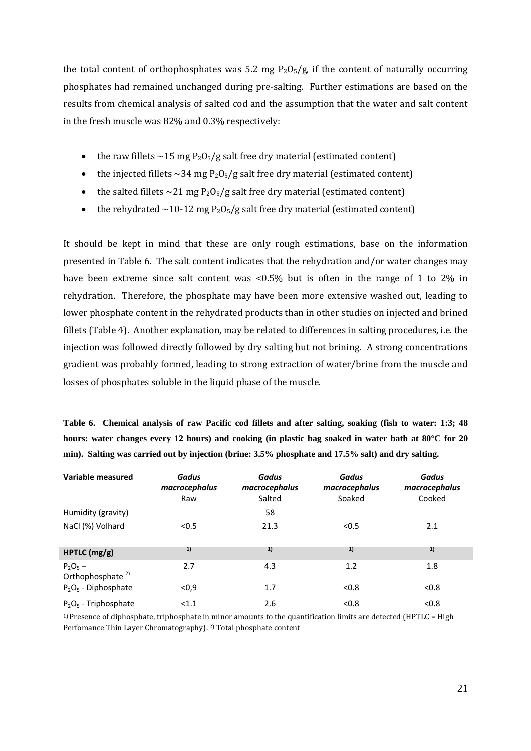the total content of orthophosphates was 5.2 mg  $P_2O_5/g$ , if the content of naturally occurring phosphates had remained unchanged during pre‐salting. Further estimations are based on the results from chemical analysis of salted cod and the assumption that the water and salt content in the fresh muscle was 82% and 0.3% respectively:

- the raw fillets  $\sim$  15 mg P<sub>2</sub>O<sub>5</sub>/g salt free dry material (estimated content)
- the injected fillets  $\sim$ 34 mg P<sub>2</sub>O<sub>5</sub>/g salt free dry material (estimated content)
- the salted fillets  $\sim$  21 mg P<sub>2</sub>O<sub>5</sub>/g salt free dry material (estimated content)
- the rehydrated  $\sim$ 10-12 mg P<sub>2</sub>O<sub>5</sub>/g salt free dry material (estimated content)

It should be kept in mind that these are only rough estimations, base on the information presented in Table 6. The salt content indicates that the rehydration and/or water changes may have been extreme since salt content was <0.5% but is often in the range of 1 to 2% in rehydration. Therefore, the phosphate may have been more extensive washed out, leading to lower phosphate content in the rehydrated products than in other studies on injected and brined fillets (Table 4). Another explanation, may be related to differences in salting procedures, i.e. the injection was followed directly followed by dry salting but not brining. A strong concentrations gradient was probably formed, leading to strong extraction of water/brine from the muscle and losses of phosphates soluble in the liquid phase of the muscle.

| Table 6. Chemical analysis of raw Pacific cod fillets and after salting, soaking (fish to water: 1:3; 48       |  |  |  |  |  |
|----------------------------------------------------------------------------------------------------------------|--|--|--|--|--|
| hours: water changes every 12 hours) and cooking (in plastic bag soaked in water bath at $80^{\circ}$ C for 20 |  |  |  |  |  |
| min). Salting was carried out by injection (brine: 3.5% phosphate and 17.5% salt) and dry salting.             |  |  |  |  |  |

| Variable measured                          | Gadus<br>macrocephalus<br>Raw | Gadus<br>macrocephalus<br>Salted | Gadus<br>macrocephalus<br>Soaked | Gadus<br>macrocephalus<br>Cooked |
|--------------------------------------------|-------------------------------|----------------------------------|----------------------------------|----------------------------------|
| Humidity (gravity)                         |                               | 58                               |                                  |                                  |
| NaCl (%) Volhard                           | < 0.5                         | 21.3                             | < 0.5                            | 2.1                              |
| HPTLC (mg/g)                               | 1)                            | 1)                               | 1)                               | 1)                               |
| $P_2O_5 -$<br>Orthophosphate <sup>2)</sup> | 2.7                           | 4.3                              | 1.2                              | 1.8                              |
| $P_2O_5$ - Diphosphate                     | $0,9$                         | 1.7                              | < 0.8                            | < 0.8                            |
| $P_2O_5$ - Triphosphate                    | < 1.1                         | 2.6                              | < 0.8                            | < 0.8                            |

1) Presence of diphosphate, triphosphate in minor amounts to the quantification limits are detected (HPTLC = High Perfomance Thin Layer Chromatography). 2) Total phosphate content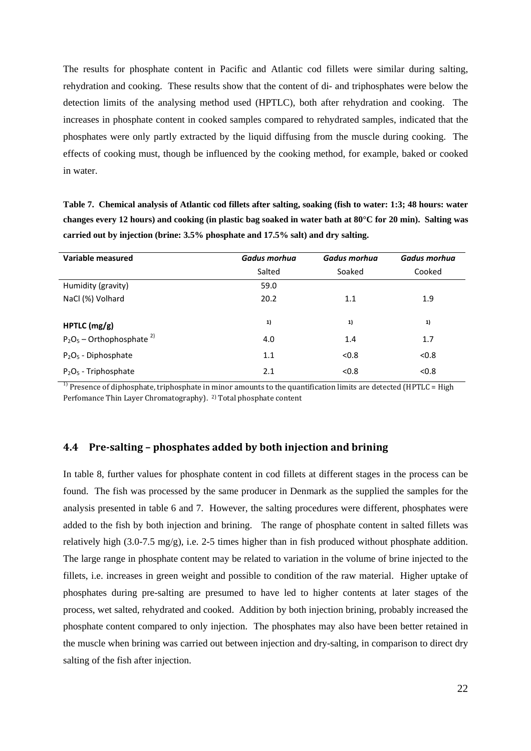The results for phosphate content in Pacific and Atlantic cod fillets were similar during salting, rehydration and cooking. These results show that the content of di- and triphosphates were below the detection limits of the analysing method used (HPTLC), both after rehydration and cooking. The increases in phosphate content in cooked samples compared to rehydrated samples, indicated that the phosphates were only partly extracted by the liquid diffusing from the muscle during cooking. The effects of cooking must, though be influenced by the cooking method, for example, baked or cooked in water.

**Table 7. Chemical analysis of Atlantic cod fillets after salting, soaking (fish to water: 1:3; 48 hours: water changes every 12 hours) and cooking (in plastic bag soaked in water bath at 80°C for 20 min). Salting was carried out by injection (brine: 3.5% phosphate and 17.5% salt) and dry salting.** 

| Variable measured                       | Gadus morhua | Gadus morhua | Gadus morhua |
|-----------------------------------------|--------------|--------------|--------------|
|                                         | Salted       | Soaked       | Cooked       |
| Humidity (gravity)                      | 59.0         |              |              |
| NaCl (%) Volhard                        | 20.2         | 1.1          | 1.9          |
|                                         |              |              |              |
| HPTLC (mg/g)                            | 1)           | 1)           | 1)           |
| $P_2O_5$ – Orthophosphate <sup>2)</sup> | 4.0          | 1.4          | 1.7          |
| $P_2O_5$ - Diphosphate                  | 1.1          | < 0.8        | < 0.8        |
| $P_2O_5$ - Triphosphate                 | 2.1          | < 0.8        | < 0.8        |

Presence of diphosphate, triphosphate in minor amounts to the quantification limits are detected (HPTLC = High Perfomance Thin Layer Chromatography). 2) Total phosphate content

#### **4.4 Presalting – phosphates added by both injection and brining**

In table 8, further values for phosphate content in cod fillets at different stages in the process can be found. The fish was processed by the same producer in Denmark as the supplied the samples for the analysis presented in table 6 and 7. However, the salting procedures were different, phosphates were added to the fish by both injection and brining. The range of phosphate content in salted fillets was relatively high (3.0-7.5 mg/g), i.e. 2-5 times higher than in fish produced without phosphate addition. The large range in phosphate content may be related to variation in the volume of brine injected to the fillets, i.e. increases in green weight and possible to condition of the raw material. Higher uptake of phosphates during pre-salting are presumed to have led to higher contents at later stages of the process, wet salted, rehydrated and cooked. Addition by both injection brining, probably increased the phosphate content compared to only injection. The phosphates may also have been better retained in the muscle when brining was carried out between injection and dry-salting, in comparison to direct dry salting of the fish after injection.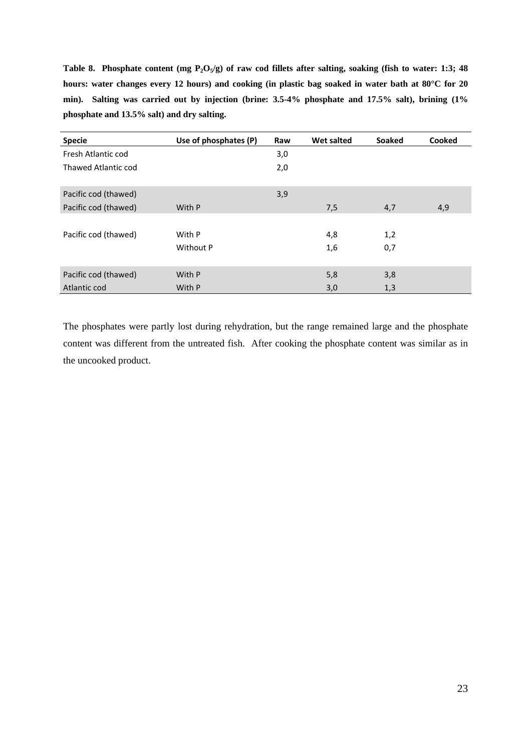Table 8. Phosphate content (mg P<sub>2</sub>O<sub>5</sub>/g) of raw cod fillets after salting, soaking (fish to water: 1:3; 48 **hours: water changes every 12 hours) and cooking (in plastic bag soaked in water bath at 80°C for 20 min). Salting was carried out by injection (brine: 3.5-4% phosphate and 17.5% salt), brining (1% phosphate and 13.5% salt) and dry salting.** 

| <b>Specie</b>        | Use of phosphates (P) | Raw | <b>Wet salted</b> | <b>Soaked</b> | Cooked |
|----------------------|-----------------------|-----|-------------------|---------------|--------|
| Fresh Atlantic cod   |                       | 3,0 |                   |               |        |
| Thawed Atlantic cod  |                       | 2,0 |                   |               |        |
| Pacific cod (thawed) |                       | 3,9 |                   |               |        |
| Pacific cod (thawed) | With P                |     | 7,5               | 4,7           | 4,9    |
|                      |                       |     |                   |               |        |
| Pacific cod (thawed) | With P                |     | 4,8               | 1,2           |        |
|                      | Without P             |     | 1,6               | 0,7           |        |
|                      |                       |     |                   |               |        |
| Pacific cod (thawed) | With P                |     | 5,8               | 3,8           |        |
| Atlantic cod         | With P                |     | 3,0               | 1,3           |        |

The phosphates were partly lost during rehydration, but the range remained large and the phosphate content was different from the untreated fish. After cooking the phosphate content was similar as in the uncooked product.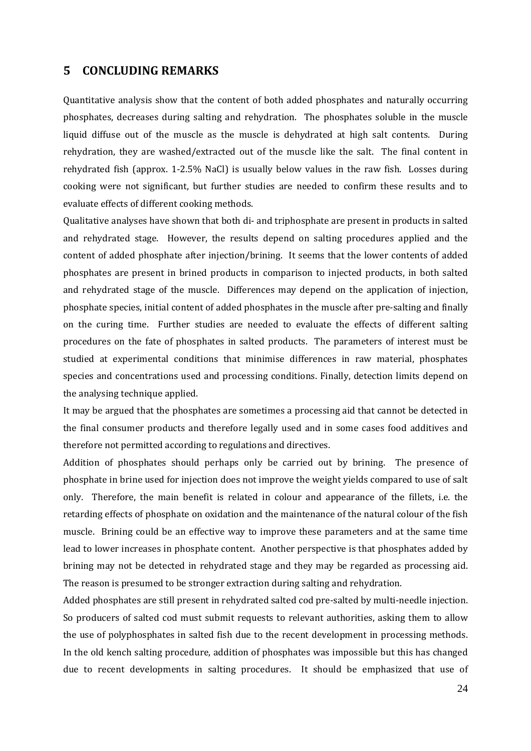### **5 CONCLUDING REMARKS**

Quantitative analysis show that the content of both added phosphates and naturally occurring phosphates, decreases during salting and rehydration. The phosphates soluble in the muscle liquid diffuse out of the muscle as the muscle is dehydrated at high salt contents. During rehydration, they are washed/extracted out of the muscle like the salt. The final content in rehydrated fish (approx. 1‐2.5% NaCl) is usually below values in the raw fish. Losses during cooking were not significant, but further studies are needed to confirm these results and to evaluate effects of different cooking methods.

Qualitative analyses have shown that both di‐ and triphosphate are present in products in salted and rehydrated stage. However, the results depend on salting procedures applied and the content of added phosphate after injection/brining. It seems that the lower contents of added phosphates are present in brined products in comparison to injected products, in both salted and rehydrated stage of the muscle. Differences may depend on the application of injection, phosphate species, initial content of added phosphates in the muscle after pre‐salting and finally on the curing time. Further studies are needed to evaluate the effects of different salting procedures on the fate of phosphates in salted products. The parameters of interest must be studied at experimental conditions that minimise differences in raw material, phosphates species and concentrations used and processing conditions. Finally, detection limits depend on the analysing technique applied.

It may be argued that the phosphates are sometimes a processing aid that cannot be detected in the final consumer products and therefore legally used and in some cases food additives and therefore not permitted according to regulations and directives.

Addition of phosphates should perhaps only be carried out by brining. The presence of phosphate in brine used for injection does not improve the weight yields compared to use of salt only. Therefore, the main benefit is related in colour and appearance of the fillets, i.e. the retarding effects of phosphate on oxidation and the maintenance of the natural colour of the fish muscle. Brining could be an effective way to improve these parameters and at the same time lead to lower increases in phosphate content. Another perspective is that phosphates added by brining may not be detected in rehydrated stage and they may be regarded as processing aid. The reason is presumed to be stronger extraction during salting and rehydration.

Added phosphates are still present in rehydrated salted cod pre‐salted by multi‐needle injection. So producers of salted cod must submit requests to relevant authorities, asking them to allow the use of polyphosphates in salted fish due to the recent development in processing methods. In the old kench salting procedure, addition of phosphates was impossible but this has changed due to recent developments in salting procedures. It should be emphasized that use of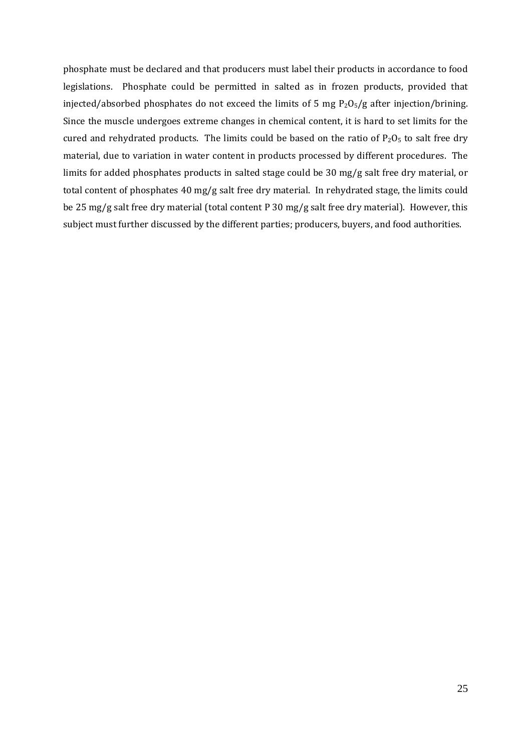phosphate must be declared and that producers must label their products in accordance to food legislations. Phosphate could be permitted in salted as in frozen products, provided that injected/absorbed phosphates do not exceed the limits of 5 mg  $P_2O_5/g$  after injection/brining. Since the muscle undergoes extreme changes in chemical content, it is hard to set limits for the cured and rehydrated products. The limits could be based on the ratio of  $P_2O_5$  to salt free dry material, due to variation in water content in products processed by different procedures. The limits for added phosphates products in salted stage could be 30 mg/g salt free dry material, or total content of phosphates 40 mg/g salt free dry material. In rehydrated stage, the limits could be 25 mg/g salt free dry material (total content P 30 mg/g salt free dry material). However, this subject must further discussed by the different parties; producers, buyers, and food authorities.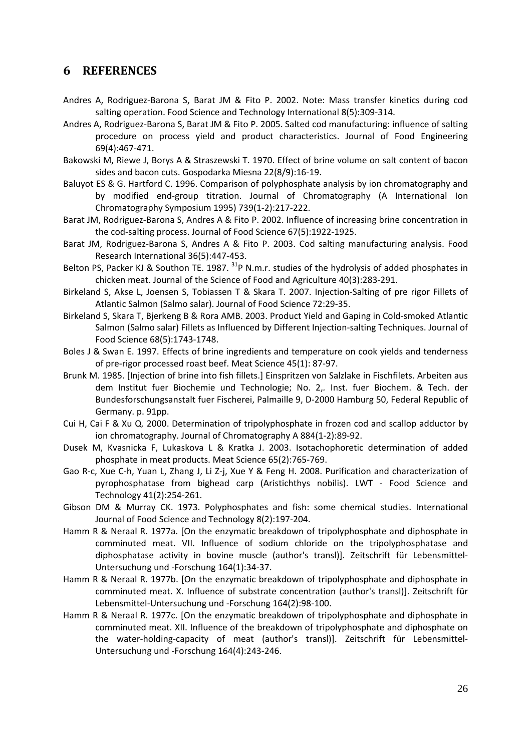# **6 REFERENCES**

- Andres A, Rodriguez‐Barona S, Barat JM & Fito P. 2002. Note: Mass transfer kinetics during cod salting operation. Food Science and Technology International 8(5):309‐314.
- Andres A, Rodriguez‐Barona S, Barat JM & Fito P. 2005. Salted cod manufacturing: influence of salting procedure on process yield and product characteristics. Journal of Food Engineering 69(4):467‐471.
- Bakowski M, Riewe J, Borys A & Straszewski T. 1970. Effect of brine volume on salt content of bacon sides and bacon cuts. Gospodarka Miesna 22(8/9):16‐19.
- Baluyot ES & G. Hartford C. 1996. Comparison of polyphosphate analysis by ion chromatography and by modified end‐group titration. Journal of Chromatography (A International Ion Chromatography Symposium 1995) 739(1‐2):217‐222.
- Barat JM, Rodriguez‐Barona S, Andres A & Fito P. 2002. Influence of increasing brine concentration in the cod‐salting process. Journal of Food Science 67(5):1922‐1925.
- Barat JM, Rodriguez‐Barona S, Andres A & Fito P. 2003. Cod salting manufacturing analysis. Food Research International 36(5):447‐453.
- Belton PS, Packer KJ & Southon TE. 1987.  $31P$  N.m.r. studies of the hydrolysis of added phosphates in chicken meat. Journal of the Science of Food and Agriculture 40(3):283‐291.
- Birkeland S, Akse L, Joensen S, Tobiassen T & Skara T. 2007. Injection‐Salting of pre rigor Fillets of Atlantic Salmon (Salmo salar). Journal of Food Science 72:29‐35.
- Birkeland S, Skara T, Bjerkeng B & Rora AMB. 2003. Product Yield and Gaping in Cold‐smoked Atlantic Salmon (Salmo salar) Fillets as Influenced by Different Injection‐salting Techniques. Journal of Food Science 68(5):1743‐1748.
- Boles J & Swan E. 1997. Effects of brine ingredients and temperature on cook yields and tenderness of pre‐rigor processed roast beef. Meat Science 45(1): 87‐97.
- Brunk M. 1985. [Injection of brine into fish fillets.] Einspritzen von Salzlake in Fischfilets. Arbeiten aus dem Institut fuer Biochemie und Technologie; No. 2,*.* Inst. fuer Biochem. & Tech. der Bundesforschungsanstalt fuer Fischerei, Palmaille 9, D‐2000 Hamburg 50, Federal Republic of Germany. p. 91pp.
- Cui H, Cai F & Xu Q. 2000. Determination of tripolyphosphate in frozen cod and scallop adductor by ion chromatography. Journal of Chromatography A 884(1‐2):89‐92.
- Dusek M, Kvasnicka F, Lukaskova L & Kratka J. 2003. Isotachophoretic determination of added phosphate in meat products. Meat Science 65(2):765‐769.
- Gao R‐c, Xue C‐h, Yuan L, Zhang J, Li Z‐j, Xue Y & Feng H. 2008. Purification and characterization of pyrophosphatase from bighead carp (Aristichthys nobilis). LWT ‐ Food Science and Technology 41(2):254‐261.
- Gibson DM & Murray CK. 1973. Polyphosphates and fish: some chemical studies. International Journal of Food Science and Technology 8(2):197‐204.
- Hamm R & Neraal R. 1977a. [On the enzymatic breakdown of tripolyphosphate and diphosphate in comminuted meat. VII. Influence of sodium chloride on the tripolyphosphatase and diphosphatase activity in bovine muscle (author's transl)]. Zeitschrift für Lebensmittel‐ Untersuchung und ‐Forschung 164(1):34‐37.
- Hamm R & Neraal R. 1977b. [On the enzymatic breakdown of tripolyphosphate and diphosphate in comminuted meat. X. Influence of substrate concentration (author's transl)]. Zeitschrift für Lebensmittel‐Untersuchung und ‐Forschung 164(2):98‐100.
- Hamm R & Neraal R. 1977c. [On the enzymatic breakdown of tripolyphosphate and diphosphate in comminuted meat. XII. Influence of the breakdown of tripolyphosphate and diphosphate on the water‐holding‐capacity of meat (author's transl)]. Zeitschrift für Lebensmittel‐ Untersuchung und ‐Forschung 164(4):243‐246.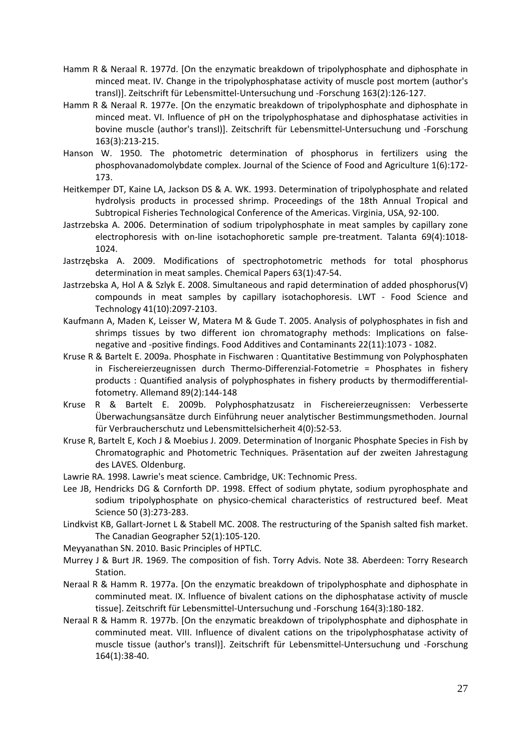- Hamm R & Neraal R. 1977d. [On the enzymatic breakdown of tripolyphosphate and diphosphate in minced meat. IV. Change in the tripolyphosphatase activity of muscle post mortem (author's transl)]. Zeitschrift für Lebensmittel‐Untersuchung und ‐Forschung 163(2):126‐127.
- Hamm R & Neraal R. 1977e. [On the enzymatic breakdown of tripolyphosphate and diphosphate in minced meat. VI. Influence of pH on the tripolyphosphatase and diphosphatase activities in bovine muscle (author's transl)]. Zeitschrift für Lebensmittel‐Untersuchung und ‐Forschung 163(3):213‐215.
- Hanson W. 1950. The photometric determination of phosphorus in fertilizers using the phosphovanadomolybdate complex. Journal of the Science of Food and Agriculture 1(6):172‐ 173.
- Heitkemper DT, Kaine LA, Jackson DS & A. WK. 1993. Determination of tripolyphosphate and related hydrolysis products in processed shrimp. Proceedings of the 18th Annual Tropical and Subtropical Fisheries Technological Conference of the Americas. Virginia, USA, 92‐100.
- Jastrzebska A. 2006. Determination of sodium tripolyphosphate in meat samples by capillary zone electrophoresis with on-line isotachophoretic sample pre-treatment. Talanta 69(4):1018-1024.
- Jastrzębska A. 2009. Modifications of spectrophotometric methods for total phosphorus determination in meat samples. Chemical Papers 63(1):47‐54.
- Jastrzebska A, Hol A & Szlyk E. 2008. Simultaneous and rapid determination of added phosphorus(V) compounds in meat samples by capillary isotachophoresis. LWT ‐ Food Science and Technology 41(10):2097‐2103.
- Kaufmann A, Maden K, Leisser W, Matera M & Gude T. 2005. Analysis of polyphosphates in fish and shrimps tissues by two different ion chromatography methods: Implications on falsenegative and ‐positive findings. Food Additives and Contaminants 22(11):1073 ‐ 1082.
- Kruse R & Bartelt E. 2009a. Phosphate in Fischwaren : Quantitative Bestimmung von Polyphosphaten in Fischereierzeugnissen durch Thermo‐Differenzial‐Fotometrie = Phosphates in fishery products : Quantified analysis of polyphosphates in fishery products by thermodifferential‐ fotometry. Allemand 89(2):144‐148
- Kruse R & Bartelt E. 2009b. Polyphosphatzusatz in Fischereierzeugnissen: Verbesserte Überwachungsansätze durch Einführung neuer analytischer Bestimmungsmethoden. Journal für Verbraucherschutz und Lebensmittelsicherheit 4(0):52‐53.
- Kruse R, Bartelt E, Koch J & Moebius J. 2009. Determination of Inorganic Phosphate Species in Fish by Chromatographic and Photometric Techniques. Präsentation auf der zweiten Jahrestagung des LAVES*.* Oldenburg.
- Lawrie RA. 1998. Lawrie's meat science. Cambridge, UK: Technomic Press.
- Lee JB, Hendricks DG & Cornforth DP. 1998. Effect of sodium phytate, sodium pyrophosphate and sodium tripolyphosphate on physico‐chemical characteristics of restructured beef. Meat Science 50 (3):273‐283.
- Lindkvist KB, Gallart‐Jornet L & Stabell MC. 2008. The restructuring of the Spanish salted fish market. The Canadian Geographer 52(1):105‐120.
- Meyyanathan SN. 2010. Basic Principles of HPTLC.
- Murrey J & Burt JR. 1969. The composition of fish. Torry Advis. Note 38*.* Aberdeen: Torry Research Station.
- Neraal R & Hamm R. 1977a. [On the enzymatic breakdown of tripolyphosphate and diphosphate in comminuted meat. IX. Influence of bivalent cations on the diphosphatase activity of muscle tissue]. Zeitschrift für Lebensmittel‐Untersuchung und ‐Forschung 164(3):180‐182.
- Neraal R & Hamm R. 1977b. [On the enzymatic breakdown of tripolyphosphate and diphosphate in comminuted meat. VIII. Influence of divalent cations on the tripolyphosphatase activity of muscle tissue (author's transl)]. Zeitschrift für Lebensmittel‐Untersuchung und ‐Forschung 164(1):38‐40.